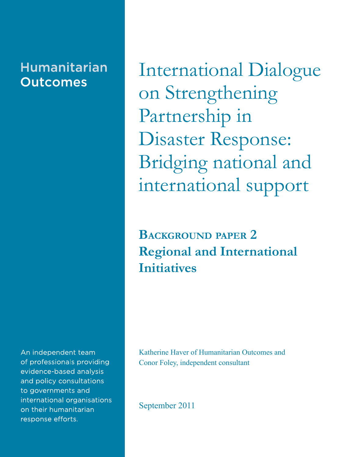# **Humanitarian Outcomes**

An independent team of professionals providing evidence-based analysis and policy consultations to governments and international organisations on their humanitarian response efforts.

International Dialogue on Strengthening Partnership in Disaster Response: Bridging national and international support

# **Background paper 2 Regional and International Initiatives**

Katherine Haver of Humanitarian Outcomes and Conor Foley, independent consultant

September 2011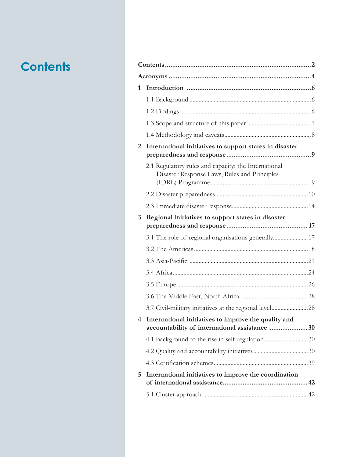# **Contents Contents.................................................................................2**

| 1               |                                                                                                         |  |
|-----------------|---------------------------------------------------------------------------------------------------------|--|
|                 |                                                                                                         |  |
|                 |                                                                                                         |  |
|                 |                                                                                                         |  |
|                 |                                                                                                         |  |
| 2               | International initiatives to support states in disaster                                                 |  |
|                 | 2.1 Regulatory rules and capacity: the International<br>Disaster Response Laws, Rules and Principles    |  |
|                 |                                                                                                         |  |
|                 |                                                                                                         |  |
| $3^{\circ}$     | Regional initiatives to support states in disaster                                                      |  |
|                 | 3.1 The role of regional organisations generally17                                                      |  |
|                 |                                                                                                         |  |
|                 |                                                                                                         |  |
|                 |                                                                                                         |  |
|                 |                                                                                                         |  |
|                 |                                                                                                         |  |
|                 | 3.7 Civil-military initiatives at the regional level28                                                  |  |
|                 | 4 International initiatives to improve the quality and<br>accountability of international assistance 30 |  |
|                 | 4.1 Background to the rise in self-regulation30                                                         |  |
|                 |                                                                                                         |  |
|                 |                                                                                                         |  |
| $5\overline{)}$ | International initiatives to improve the coordination                                                   |  |
|                 |                                                                                                         |  |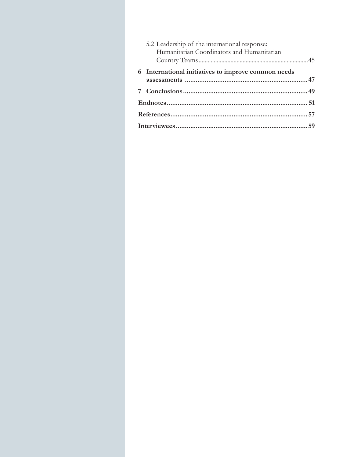|  | 5.2 Leadership of the international response:<br>Humanitarian Coordinators and Humanitarian |  |
|--|---------------------------------------------------------------------------------------------|--|
|  | 6 International initiatives to improve common needs                                         |  |
|  |                                                                                             |  |
|  |                                                                                             |  |
|  |                                                                                             |  |
|  |                                                                                             |  |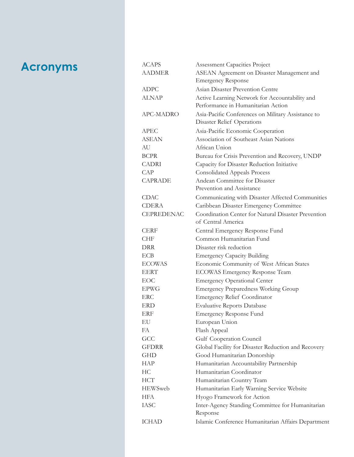# **Acronyms**

| <b>ACAPS</b>      | Assessment Capacities Project                       |
|-------------------|-----------------------------------------------------|
| <b>AADMER</b>     | ASEAN Agreement on Disaster Management and          |
|                   | <b>Emergency Response</b>                           |
| <b>ADPC</b>       | <b>Asian Disaster Prevention Centre</b>             |
| <b>ALNAP</b>      | Active Learning Network for Accountability and      |
|                   | Performance in Humanitarian Action                  |
| <b>APC-MADRO</b>  | Asia-Pacific Conferences on Military Assistance to  |
|                   | Disaster Relief Operations                          |
| <b>APEC</b>       | Asia-Pacific Economic Cooperation                   |
| <b>ASEAN</b>      | Association of Southeast Asian Nations              |
| AU                | African Union                                       |
| <b>BCPR</b>       | Bureau for Crisis Prevention and Recovery, UNDP     |
| <b>CADRI</b>      | Capacity for Disaster Reduction Initiative          |
| CAP               | <b>Consolidated Appeals Process</b>                 |
| <b>CAPRADE</b>    | Andean Committee for Disaster                       |
|                   | Prevention and Assistance                           |
| <b>CDAC</b>       | Communicating with Disaster Affected Communities    |
| <b>CDERA</b>      | Caribbean Disaster Emergency Committee              |
| <b>CEPREDENAC</b> | Coordination Center for Natural Disaster Prevention |
|                   | of Central America                                  |
| CERF              | Central Emergency Response Fund                     |
| <b>CHF</b>        | Common Humanitarian Fund                            |
| DRR               | Disaster risk reduction                             |
| ECB               | <b>Emergency Capacity Building</b>                  |
| <b>ECOWAS</b>     | Economic Community of West African States           |
| <b>EERT</b>       | <b>ECOWAS Emergency Response Team</b>               |
| EOC               | <b>Emergency Operational Center</b>                 |
| <b>EPWG</b>       | <b>Emergency Preparedness Working Group</b>         |
| ERC               | <b>Emergency Relief Coordinator</b>                 |
| ERD               | <b>Evaluative Reports Database</b>                  |
| ERF               | <b>Emergency Response Fund</b>                      |
| EU                | European Union                                      |
| FA                | Flash Appeal                                        |
| GCC               | Gulf Cooperation Council                            |
| <b>GFDRR</b>      | Global Facility for Disaster Reduction and Recovery |
| <b>GHD</b>        | Good Humanitarian Donorship                         |
| <b>HAP</b>        | Humanitarian Accountability Partnership             |
| HC                | Humanitarian Coordinator                            |
| <b>HCT</b>        | Humanitarian Country Team                           |
| <b>HEWSweb</b>    | Humanitarian Early Warning Service Website          |
| HFA               | Hyogo Framework for Action                          |
| <b>IASC</b>       | Inter-Agency Standing Committee for Humanitarian    |
|                   | Response                                            |
| <b>ICHAD</b>      | Islamic Conference Humanitarian Affairs Department  |
|                   |                                                     |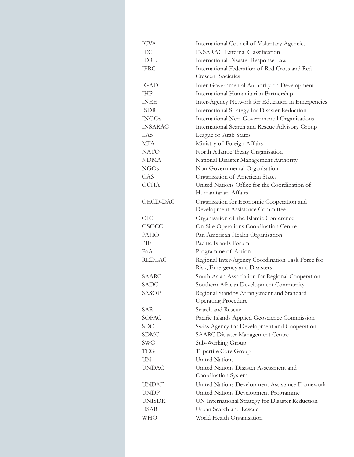| <b>ICVA</b>    | International Council of Voluntary Agencies                                        |
|----------------|------------------------------------------------------------------------------------|
| <b>IEC</b>     | <b>INSARAG</b> External Classification                                             |
| <b>IDRL</b>    | <b>International Disaster Response Law</b>                                         |
| <b>IFRC</b>    | International Federation of Red Cross and Red                                      |
|                | <b>Crescent Societies</b>                                                          |
| <b>IGAD</b>    | Inter-Governmental Authority on Development                                        |
| <b>IHP</b>     | International Humanitarian Partnership                                             |
| <b>INEE</b>    | Inter-Agency Network for Education in Emergencies                                  |
| <b>ISDR</b>    | International Strategy for Disaster Reduction                                      |
| <b>INGOs</b>   | International Non-Governmental Organisations                                       |
| <b>INSARAG</b> | International Search and Rescue Advisory Group                                     |
| LAS            | League of Arab States                                                              |
| MFA.           | Ministry of Foreign Affairs                                                        |
| <b>NATO</b>    | North Atlantic Treaty Organisation                                                 |
| <b>NDMA</b>    | National Disaster Management Authority                                             |
| NGOs           | Non-Governmental Organisation                                                      |
| <b>OAS</b>     | Organisation of American States                                                    |
| <b>OCHA</b>    | United Nations Office for the Coordination of                                      |
|                | Humanitarian Affairs                                                               |
| OECD-DAC       | Organisation for Economic Cooperation and                                          |
|                | Development Assistance Committee                                                   |
| OIC            | Organisation of the Islamic Conference                                             |
| <b>OSOCC</b>   | On-Site Operations Coordination Centre                                             |
| PAHO           | Pan American Health Organisation                                                   |
| <b>PIF</b>     | Pacific Islands Forum                                                              |
| PoA            | Programme of Action                                                                |
| <b>REDLAC</b>  | Regional Inter-Agency Coordination Task Force for<br>Risk, Emergency and Disasters |
| <b>SAARC</b>   | South Asian Association for Regional Cooperation                                   |
| <b>SADC</b>    | Southern African Development Community                                             |
| SASOP          | Regional Standby Arrangement and Standard                                          |
|                | <b>Operating Procedure</b>                                                         |
| SAR            | Search and Rescue                                                                  |
| SOPAC          | Pacific Islands Applied Geoscience Commission                                      |
| <b>SDC</b>     | Swiss Agency for Development and Cooperation                                       |
| <b>SDMC</b>    | <b>SAARC Disaster Management Centre</b>                                            |
| <b>SWG</b>     | Sub-Working Group                                                                  |
| TCG            | Tripartite Core Group                                                              |
| UN.            | United Nations                                                                     |
| <b>UNDAC</b>   | United Nations Disaster Assessment and<br>Coordination System                      |
| <b>UNDAF</b>   | United Nations Development Assistance Framework                                    |
| <b>UNDP</b>    | United Nations Development Programme                                               |
| <b>UNISDR</b>  | UN International Strategy for Disaster Reduction                                   |
| USAR           | Urban Search and Rescue                                                            |
| WHO            | World Health Organisation                                                          |
|                |                                                                                    |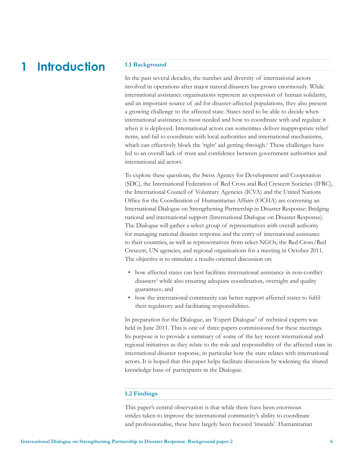### **1 Introduction 1.1 Background**

In the past several decades, the number and diversity of international actors involved in operations after major natural disasters has grown enormously. While international assistance organisations represent an expression of human solidarity, and an important source of aid for disaster-affected populations, they also present a growing challenge to the affected state. States need to be able to decide when international assistance is most needed and how to coordinate with and regulate it when it is deployed. International actors can sometimes deliver inappropriate relief items, and fail to coordinate with local authorities and international mechanisms, which can effectively block the 'right' aid getting through.<sup>1</sup> These challenges have led to an overall lack of trust and confidence between government authorities and international aid actors.

To explore these questions, the Swiss Agency for Development and Cooperation (SDC), the International Federation of Red Cross and Red Crescent Societies (IFRC), the International Council of Voluntary Agencies (ICVA) and the United Nations Office for the Coordination of Humanitarian Affairs (OCHA) are convening an International Dialogue on Strengthening Partnership in Disaster Response: Bridging national and international support (International Dialogue on Disaster Response). The Dialogue will gather a select group of representatives with overall authority for managing national disaster response and the entry of international assistance to their countries, as well as representatives from select NGOs, the Red Cross/Red Crescent, UN agencies, and regional organisations for a meeting in October 2011. The objective is to stimulate a results-oriented discussion on:

- how affected states can best facilitate international assistance in non-conflict disasters<sup>2</sup> while also ensuring adequate coordination, oversight and quality guarantees; and
- how the international community can better support affected states to fulfil their regulatory and facilitating responsibilities.

In preparation for the Dialogue, an 'Expert Dialogue' of technical experts was held in June 2011. This is one of three papers commissioned for these meetings. Its purpose is to provide a summary of some of the key recent international and regional initiatives as they relate to the role and responsibility of the affected state in international disaster response, in particular how the state relates with international actors. It is hoped that this paper helps facilitate discussion by widening the shared knowledge base of participants in the Dialogue.

#### **1.2 Findings**

This paper's central observation is that while there have been enormous strides taken to improve the international community's ability to coordinate and professionalise, these have largely been focused 'inwards'. Humanitarian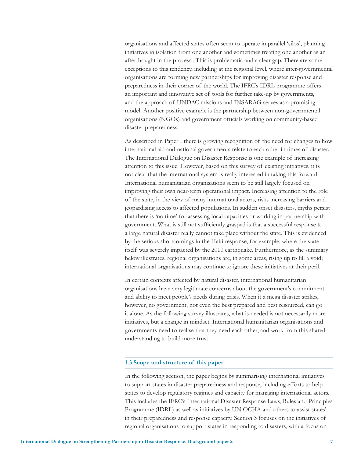organisations and affected states often seem to operate in parallel 'silos', planning initiatives in isolation from one another and sometimes treating one another as an afterthought in the process.. This is problematic and a clear gap. There are some exceptions to this tendency, including at the regional level, where inter-governmental organisations are forming new partnerships for improving disaster response and preparedness in their corner of the world. The IFRC's IDRL programme offers an important and innovative set of tools for further take-up by governments, and the approach of UNDAC missions and INSARAG serves as a promising model. Another positive example is the partnership between non-governmental organisations (NGOs) and government officials working on community-based disaster preparedness.

As described in Paper I there is growing recognition of the need for changes to how international aid and national governments relate to each other in times of disaster. The International Dialogue on Disaster Response is one example of increasing attention to this issue. However, based on this survey of existing initiatives, it is not clear that the international system is really interested in taking this forward. International humanitarian organisations seem to be still largely focused on improving their own near-term operational impact. Increasing attention to the role of the state, in the view of many international actors, risks increasing barriers and jeopardising access to affected populations. In sudden onset disasters, myths persist that there is 'no time' for assessing local capacities or working in partnership with government. What is still not sufficiently grasped is that a successful response to a large natural disaster really cannot take place without the state. This is evidenced by the serious shortcomings in the Haiti response, for example, where the state itself was severely impacted by the 2010 earthquake. Furthermore, as the summary below illustrates, regional organisations are, in some areas, rising up to fill a void; international organisations may continue to ignore these initiatives at their peril.

In certain contexts affected by natural disaster, international humanitarian organisations have very legitimate concerns about the government's commitment and ability to meet people's needs during crisis. When it a mega disaster strikes, however, no government, not even the best prepared and best resourced, can go it alone. As the following survey illustrates, what is needed is not necessarily more initiatives, but a change in mindset. International humanitarian organisations and governments need to realise that they need each other, and work from this shared understanding to build more trust.

#### **1.3 Scope and structure of this paper**

In the following section, the paper begins by summarising international initiatives to support states in disaster preparedness and response, including efforts to help states to develop regulatory regimes and capacity for managing international actors. This includes the IFRC's International Disaster Response Laws, Rules and Principles Programme (IDRL) as well as initiatives by UN OCHA and others to assist states' in their preparedness and response capacity. Section 3 focuses on the initiatives of regional organisations to support states in responding to disasters, with a focus on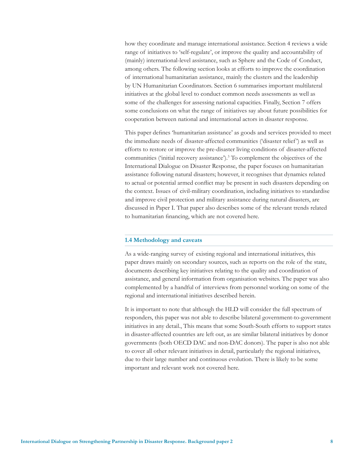how they coordinate and manage international assistance. Section 4 reviews a wide range of initiatives to 'self-regulate', or improve the quality and accountability of (mainly) international-level assistance, such as Sphere and the Code of Conduct, among others. The following section looks at efforts to improve the coordination of international humanitarian assistance, mainly the clusters and the leadership by UN Humanitarian Coordinators. Section 6 summarises important multilateral initiatives at the global level to conduct common needs assessments as well as some of the challenges for assessing national capacities. Finally, Section 7 offers some conclusions on what the range of initiatives say about future possibilities for cooperation between national and international actors in disaster response.

This paper defines 'humanitarian assistance' as goods and services provided to meet the immediate needs of disaster-affected communities ('disaster relief ') as well as efforts to restore or improve the pre-disaster living conditions of disaster-affected communities ('initial recovery assistance').3 To complement the objectives of the International Dialogue on Disaster Response, the paper focuses on humanitarian assistance following natural disasters; however, it recognises that dynamics related to actual or potential armed conflict may be present in such disasters depending on the context. Issues of civil-military coordination, including initiatives to standardise and improve civil protection and military assistance during natural disasters, are discussed in Paper I. That paper also describes some of the relevant trends related to humanitarian financing, which are not covered here.

#### **1.4 Methodology and caveats**

As a wide-ranging survey of existing regional and international initiatives, this paper draws mainly on secondary sources, such as reports on the role of the state, documents describing key initiatives relating to the quality and coordination of assistance, and general information from organisation websites. The paper was also complemented by a handful of interviews from personnel working on some of the regional and international initiatives described herein.

It is important to note that although the HLD will consider the full spectrum of responders, this paper was not able to describe bilateral government-to-government initiatives in any detail., This means that some South-South efforts to support states in disaster-affected countries are left out, as are similar bilateral initiatives by donor governments (both OECD DAC and non-DAC donors). The paper is also not able to cover all other relevant initiatives in detail, particularly the regional initiatives, due to their large number and continuous evolution. There is likely to be some important and relevant work not covered here.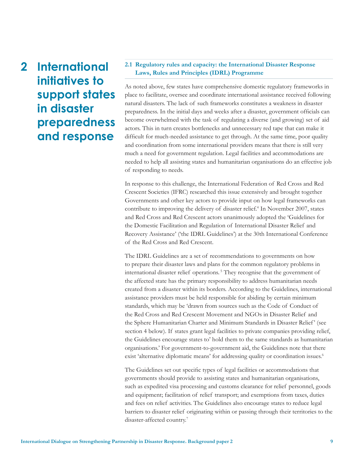**2 International initiatives to support states in disaster preparedness and response**

#### **2.1 Regulatory rules and capacity: the International Disaster Response Laws, Rules and Principles (IDRL) Programme**

As noted above, few states have comprehensive domestic regulatory frameworks in place to facilitate, oversee and coordinate international assistance received following natural disasters. The lack of such frameworks constitutes a weakness in disaster preparedness. In the initial days and weeks after a disaster, government officials can become overwhelmed with the task of regulating a diverse (and growing) set of aid actors. This in turn creates bottlenecks and unnecessary red tape that can make it difficult for much-needed assistance to get through. At the same time, poor quality and coordination from some international providers means that there is still very much a need for government regulation. Legal facilities and accommodations are needed to help all assisting states and humanitarian organisations do an effective job of responding to needs.

In response to this challenge, the International Federation of Red Cross and Red Crescent Societies (IFRC) researched this issue extensively and brought together Governments and other key actors to provide input on how legal frameworks can contribute to improving the delivery of disaster relief.<sup>4</sup> In November 2007, states and Red Cross and Red Crescent actors unanimously adopted the 'Guidelines for the Domestic Facilitation and Regulation of International Disaster Relief and Recovery Assistance' ('the IDRL Guidelines') at the 30th International Conference of the Red Cross and Red Crescent.

The IDRL Guidelines are a set of recommendations to governments on how to prepare their disaster laws and plans for the common regulatory problems in international disaster relief operations. 5 They recognise that the government of the affected state has the primary responsibility to address humanitarian needs created from a disaster within its borders. According to the Guidelines, international assistance providers must be held responsible for abiding by certain minimum standards, which may be 'drawn from sources such as the Code of Conduct of the Red Cross and Red Crescent Movement and NGOs in Disaster Relief and the Sphere Humanitarian Charter and Minimum Standards in Disaster Relief ' (see section 4 below). If states grant legal facilities to private companies providing relief, the Guidelines encourage states to' hold them to the same standards as humanitarian organisations.' For government-to-government aid, the Guidelines note that there exist 'alternative diplomatic means' for addressing quality or coordination issues.<sup>6</sup>

The Guidelines set out specific types of legal facilities or accommodations that governments should provide to assisting states and humanitarian organisations, such as expedited visa processing and customs clearance for relief personnel, goods and equipment; facilitation of relief transport; and exemptions from taxes, duties and fees on relief activities. The Guidelines also encourage states to reduce legal barriers to disaster relief originating within or passing through their territories to the disaster-affected country.7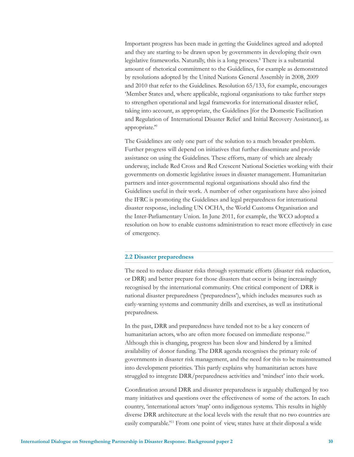Important progress has been made in getting the Guidelines agreed and adopted and they are starting to be drawn upon by governments in developing their own legislative frameworks. Naturally, this is a long process.<sup>8</sup> There is a substantial amount of rhetorical commitment to the Guidelines, for example as demonstrated by resolutions adopted by the United Nations General Assembly in 2008, 2009 and 2010 that refer to the Guidelines. Resolution 65/133, for example, encourages 'Member States and, where applicable, regional organisations to take further steps to strengthen operational and legal frameworks for international disaster relief, taking into account, as appropriate, the Guidelines [for the Domestic Facilitation and Regulation of International Disaster Relief and Initial Recovery Assistance], as appropriate.'9

The Guidelines are only one part of the solution to a much broader problem. Further progress will depend on initiatives that further disseminate and provide assistance on using the Guidelines. These efforts, many of which are already underway, include Red Cross and Red Crescent National Societies working with their governments on domestic legislative issues in disaster management. Humanitarian partners and inter-governmental regional organisations should also find the Guidelines useful in their work. A number of other organisations have also joined the IFRC is promoting the Guidelines and legal preparedness for international disaster response, including UN OCHA, the World Customs Organisation and the Inter-Parliamentary Union. In June 2011, for example, the WCO adopted a resolution on how to enable customs administration to react more effectively in case of emergency.

#### **2.2 Disaster preparedness**

The need to reduce disaster risks through systematic efforts (disaster risk reduction, or DRR) and better prepare for those disasters that occur is being increasingly recognised by the international community. One critical component of DRR is national disaster preparedness ('preparedness'), which includes measures such as early-warning systems and community drills and exercises, as well as institutional preparedness.

In the past, DRR and preparedness have tended not to be a key concern of humanitarian actors, who are often more focused on immediate response.<sup>10</sup> Although this is changing, progress has been slow and hindered by a limited availability of donor funding. The DRR agenda recognises the primary role of governments in disaster risk management, and the need for this to be mainstreamed into development priorities. This partly explains why humanitarian actors have struggled to integrate DRR/preparedness activities and 'mindset' into their work.

Coordination around DRR and disaster preparedness is arguably challenged by too many initiatives and questions over the effectiveness of some of the actors. In each country, 'international actors 'map' onto indigenous systems. This results in highly diverse DRR architecture at the local levels with the result that no two countries are easily comparable.'11 From one point of view, states have at their disposal a wide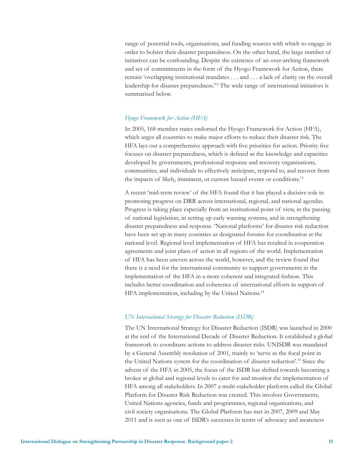range of potential tools, organisations, and funding sources with which to engage in order to bolster their disaster preparedness. On the other hand, the large number of initiatives can be confounding. Despite the existence of an over-arching framework and set of commitments in the form of the Hyogo Framework for Action, there remain 'overlapping institutional mandates . . . and . . . a lack of clarity on the overall leadership for disaster preparedness.'12 The wide range of international initiatives is summarised below.

#### *Hyogo Framework for Action (HFA)*

In 2005, 168 member states endorsed the Hyogo Framework for Action (HFA), which urges all countries to make major efforts to reduce their disaster risk. The HFA lays out a comprehensive approach with five priorities for action. Priority five focuses on disaster preparedness, which is defined as the knowledge and capacities developed by governments, professional response and recovery organisations, communities, and individuals to effectively anticipate, respond to, and recover from the impacts of likely, imminent, or current hazard events or conditions.13

A recent 'mid-term review' of the HFA found that it has played a decisive role in promoting progress on DRR across international, regional, and national agendas. Progress is taking place especially from an institutional point of view, in the passing of national legislation, in setting up early warning systems, and in strengthening disaster preparedness and response. 'National platforms' for disaster risk reduction have been set up in many countries as designated forums for coordination at the national level. Regional level implementation of HFA has resulted in cooperation agreements and joint plans of action in all regions of the world. Implementation of HFA has been uneven across the world, however, and the review found that there is a need for the international community to support governments in the implementation of the HFA in a more coherent and integrated fashion. This includes better coordination and coherence of international efforts in support of HFA implementation, including by the United Nations.<sup>14</sup>

#### *UN International Strategy for Disaster Reduction (ISDR)*

The UN International Strategy for Disaster Reduction (ISDR) was launched in 2000 at the end of the International Decade of Disaster Reduction. It established a global framework to coordinate actions to address disaster risks. UNISDR was mandated by a General Assembly resolution of 2001, mainly to 'serve as the focal point in the United Nations system for the coordination of disaster reduction'.15 Since the advent of the HFA in 2005, the focus of the ISDR has shifted towards becoming a broker at global and regional levels to cater for and monitor the implementation of HFA among all stakeholders. In 2007 a multi-stakeholder platform called the Global Platform for Disaster Risk Reduction was created. This involves Governments, United Nations agencies, funds and programmes, regional organisations, and civil society organisations. The Global Platform has met in 2007, 2009 and May 2011 and is seen as one of ISDR's successes in terms of advocacy and awareness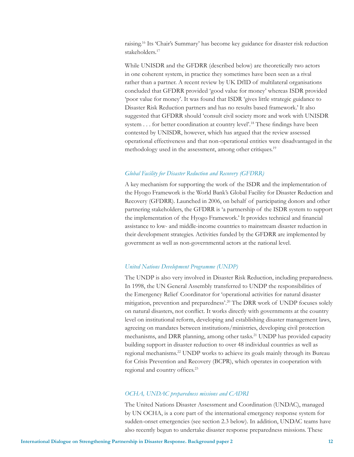raising.16 Its 'Chair's Summary' has become key guidance for disaster risk reduction stakeholders.<sup>17</sup>

While UNISDR and the GFDRR (described below) are theoretically two actors in one coherent system, in practice they sometimes have been seen as a rival rather than a partner. A recent review by UK DfID of multilateral organisations concluded that GFDRR provided 'good value for money' whereas ISDR provided 'poor value for money'. It was found that ISDR 'gives little strategic guidance to Disaster Risk Reduction partners and has no results based framework.' It also suggested that GFDRR should 'consult civil society more and work with UNISDR system . . . for better coordination at country level'.<sup>18</sup> These findings have been contested by UNISDR, however, which has argued that the review assessed operational effectiveness and that non-operational entities were disadvantaged in the methodology used in the assessment, among other critiques.<sup>19</sup>

#### *Global Facility for Disaster Reduction and Recovery (GFDRR)*

A key mechanism for supporting the work of the ISDR and the implementation of the Hyogo Framework is the World Bank's Global Facility for Disaster Reduction and Recovery (GFDRR). Launched in 2006, on behalf of participating donors and other partnering stakeholders, the GFDRR is 'a partnership of the ISDR system to support the implementation of the Hyogo Framework.' It provides technical and financial assistance to low- and middle-income countries to mainstream disaster reduction in their development strategies. Activities funded by the GFDRR are implemented by government as well as non-governmental actors at the national level.

#### *United Nations Development Programme (UNDP)*

The UNDP is also very involved in Disaster Risk Reduction, including preparedness. In 1998, the UN General Assembly transferred to UNDP the responsibilities of the Emergency Relief Coordinator for 'operational activities for natural disaster mitigation, prevention and preparedness'.20 The DRR work of UNDP focuses solely on natural disasters, not conflict. It works directly with governments at the country level on institutional reform, developing and establishing disaster management laws, agreeing on mandates between institutions/ministries, developing civil protection mechanisms, and DRR planning, among other tasks.<sup>21</sup> UNDP has provided capacity building support in disaster reduction to over 48 individual countries as well as regional mechanisms.22 UNDP works to achieve its goals mainly through its Bureau for Crisis Prevention and Recovery (BCPR), which operates in cooperation with regional and country offices.<sup>23</sup>

#### *OCHA, UNDAC preparedness missions and CADRI*

The United Nations Disaster Assessment and Coordination (UNDAC), managed by UN OCHA, is a core part of the international emergency response system for sudden-onset emergencies (see section 2.3 below). In addition, UNDAC teams have also recently begun to undertake disaster response preparedness missions. These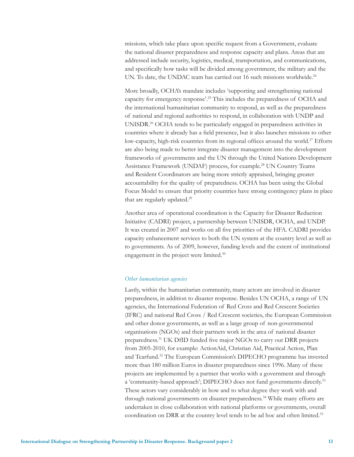missions, which take place upon specific request from a Government, evaluate the national disaster preparedness and response capacity and plans. Areas that are addressed include security, logistics, medical, transportation, and communications, and specifically how tasks will be divided among government, the military and the UN. To date, the UNDAC team has carried out 16 such missions worldwide.<sup>24</sup>

More broadly, OCHA's mandate includes 'supporting and strengthening national capacity for emergency response'.25 This includes the preparedness of OCHA and the international humanitarian community to respond, as well as the preparedness of national and regional authorities to respond, in collaboration with UNDP and UNISDR.26 OCHA tends to be particularly engaged in preparedness activities in countries where it already has a field presence, but it also launches missions to other low-capacity, high-risk countries from its regional offices around the world.<sup>27</sup> Efforts are also being made to better integrate disaster management into the development frameworks of governments and the UN through the United Nations Development Assistance Framework (UNDAF) process, for example.28 UN Country Teams and Resident Coordinators are being more strictly appraised, bringing greater accountability for the quality of preparedness. OCHA has been using the Global Focus Model to ensure that priority countries have strong contingency plans in place that are regularly updated.<sup>29</sup>

Another area of operational coordination is the Capacity for Disaster Reduction Initiative (CADRI) project, a partnership between UNISDR, OCHA, and UNDP. It was created in 2007 and works on all five priorities of the HFA. CADRI provides capacity enhancement services to both the UN system at the country level as well as to governments. As of 2009, however, funding levels and the extent of institutional engagement in the project were limited.<sup>30</sup>

#### *Other humanitarian agencies*

Lastly, within the humanitarian community, many actors are involved in disaster preparedness, in addition to disaster response. Besides UN OCHA, a range of UN agencies, the International Federation of Red Cross and Red Crescent Societies (IFRC) and national Red Cross / Red Crescent societies, the European Commission and other donor governments, as well as a large group of non-governmental organisations (NGOs) and their partners work in the area of national disaster preparedness.31 UK DfID funded five major NGOs to carry out DRR projects from 2005-2010, for example: ActionAid, Christian Aid, Practical Action, Plan and Tearfund.32 The European Commission's DIPECHO programme has invested more than 180 million Euros in disaster preparedness since 1996. Many of these projects are implemented by a partner that works with a government and through a 'community-based approach'; DIPECHO does not fund governments directly.<sup>33</sup> These actors vary considerably in how and to what degree they work with and through national governments on disaster preparedness.<sup>34</sup> While many efforts are undertaken in close collaboration with national platforms or governments, overall coordination on DRR at the country level tends to be ad hoc and often limited.35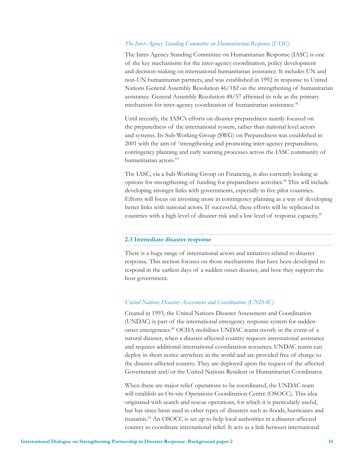#### *The Inter-Agency Standing Committee on Humanitarian Response (IASC)*

The Inter-Agency Standing Committee on Humanitarian Response (IASC) is one of the key mechanisms for the inter-agency coordination, policy development and decision-making on international humanitarian assistance. It includes UN and non-UN humanitarian partners, and was established in 1992 in response to United Nations General Assembly Resolution 46/182 on the strengthening of humanitarian assistance. General Assembly Resolution 48/57 affirmed its role as the primary mechanism for inter-agency coordination of humanitarian assistance.<sup>36</sup>

Until recently, the IASC's efforts on disaster preparedness mainly focused on the preparedness of the international system, rather than national level actors and systems. Its Sub-Working Group (SWG) on Preparedness was established in 2001 with the aim of 'strengthening and promoting inter-agency preparedness, contingency planning and early warning processes across the IASC community of humanitarian actors.'37

The IASC, via a Sub-Working Group on Financing, is also currently looking at options for strengthening of funding for preparedness activities.38 This will include developing stronger links with governments, especially in five pilot countries. Efforts will focus on investing more in contingency planning as a way of developing better links with national actors. If successful, these efforts will be replicated in countries with a high level of disaster risk and a low level of response capacity.<sup>39</sup>

#### **2.3 Immediate disaster response**

There is a huge range of international actors and initiatives related to disaster response. This section focuses on those mechanisms that have been developed to respond in the earliest days of a sudden onset disaster, and how they support the host government.

#### *United Nations Disaster Assessment and Coordination (UNDAC)*

Created in 1993, the United Nations Disaster Assessment and Coordination (UNDAC) is part of the international emergency response system for suddenonset emergencies.40 OCHA mobilises UNDAC teams mostly in the event of a natural disaster, when a disaster-affected country requests international assistance and requires additional international coordination resources. UNDAC teams can deploy in short notice anywhere in the world and are provided free of charge to the disaster-affected country. They are deployed upon the request of the affected Government and/or the United Nations Resident or Humanitarian Coordinator.

When there are major relief operations to be coordinated, the UNDAC team will establish an On-site Operations Coordination Centre (OSOCC). This idea originated with search and rescue operations, for which it is particularly useful, but has since been used in other types of disasters such as floods, hurricanes and tsunamis.41 An OSOCC is set up to help local authorities in a disaster-affected country to coordinate international relief. It acts as a link between international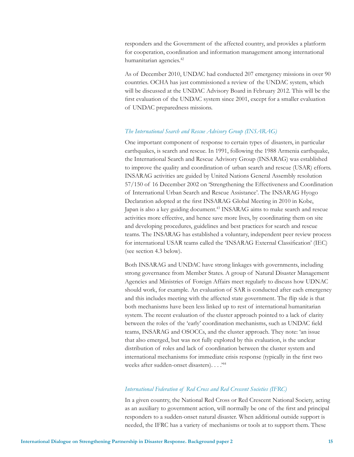responders and the Government of the affected country, and provides a platform for cooperation, coordination and information management among international humanitarian agencies.<sup>42</sup>

As of December 2010, UNDAC had conducted 207 emergency missions in over 90 countries. OCHA has just commissioned a review of the UNDAC system, which will be discussed at the UNDAC Advisory Board in February 2012. This will be the first evaluation of the UNDAC system since 2001, except for a smaller evaluation of UNDAC preparedness missions.

#### *The International Search and Rescue Advisory Group (INSARAG)*

One important component of response to certain types of disasters, in particular earthquakes, is search and rescue. In 1991, following the 1988 Armenia earthquake, the International Search and Rescue Advisory Group (INSARAG) was established to improve the quality and coordination of urban search and rescue (USAR) efforts. INSARAG activities are guided by United Nations General Assembly resolution 57/150 of 16 December 2002 on 'Strengthening the Effectiveness and Coordination of International Urban Search and Rescue Assistance'. The INSARAG Hyogo Declaration adopted at the first INSARAG Global Meeting in 2010 in Kobe, Japan is also a key guiding document.<sup>43</sup> INSARAG aims to make search and rescue activities more effective, and hence save more lives, by coordinating them on site and developing procedures, guidelines and best practices for search and rescue teams. The INSARAG has established a voluntary, independent peer review process for international USAR teams called the 'INSARAG External Classification' (IEC) (see section 4.3 below).

Both INSARAG and UNDAC have strong linkages with governments, including strong governance from Member States. A group of Natural Disaster Management Agencies and Ministries of Foreign Affairs meet regularly to discuss how UDNAC should work, for example. An evaluation of SAR is conducted after each emergency and this includes meeting with the affected state government. The flip side is that both mechanisms have been less linked up to rest of international humanitarian system. The recent evaluation of the cluster approach pointed to a lack of clarity between the roles of the 'early' coordination mechanisms, such as UNDAC field teams, INSARAG and OSOCCs, and the cluster approach. They note: 'an issue that also emerged, but was not fully explored by this evaluation, is the unclear distribution of roles and lack of coordination between the cluster system and international mechanisms for immediate crisis response (typically in the first two weeks after sudden-onset disasters). . . .'44

#### *International Federation of Red Cross and Red Crescent Societies (IFRC)*

In a given country, the National Red Cross or Red Crescent National Society, acting as an auxiliary to government action, will normally be one of the first and principal responders to a sudden-onset natural disaster. When additional outside support is needed, the IFRC has a variety of mechanisms or tools at to support them. These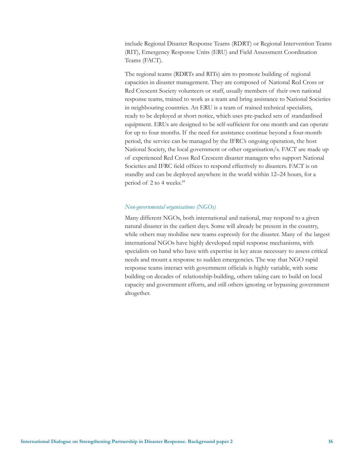include Regional Disaster Response Teams (RDRT) or Regional Intervention Teams (RIT), Emergency Response Units (ERU) and Field Assessment Coordination Teams (FACT).

The regional teams (RDRTs and RITs) aim to promote building of regional capacities in disaster management. They are composed of National Red Cross or Red Crescent Society volunteers or staff, usually members of their own national response teams, trained to work as a team and bring assistance to National Societies in neighbouring countries. An ERU is a team of trained technical specialists, ready to be deployed at short notice, which uses pre-packed sets of standardised equipment. ERUs are designed to be self-sufficient for one month and can operate for up to four months. If the need for assistance continue beyond a four-month period, the service can be managed by the IFRC's ongoing operation, the host National Society, the local government or other organisation/s. FACT are made up of experienced Red Cross Red Crescent disaster managers who support National Societies and IFRC field offices to respond effectively to disasters. FACT is on standby and can be deployed anywhere in the world within 12–24 hours, for a period of 2 to 4 weeks.45

#### *Non-governmental organisations (NGOs)*

Many different NGOs, both international and national, may respond to a given natural disaster in the earliest days. Some will already be present in the country, while others may mobilise new teams expressly for the disaster. Many of the largest international NGOs have highly developed rapid response mechanisms, with specialists on hand who have with expertise in key areas necessary to assess critical needs and mount a response to sudden emergencies. The way that NGO rapid response teams interact with government officials is highly variable, with some building on decades of relationship-building, others taking care to build on local capacity and government efforts, and still others ignoring or bypassing government altogether.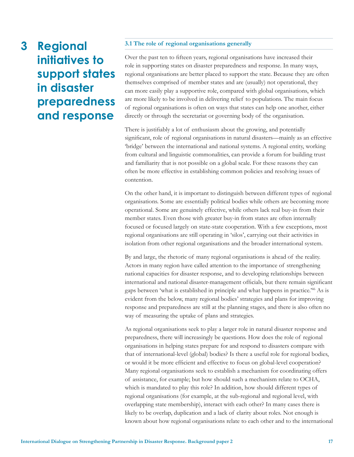### **3 Regional initiatives to support states in disaster preparedness and response**

#### **3.1 The role of regional organisations generally**

Over the past ten to fifteen years, regional organisations have increased their role in supporting states on disaster preparedness and response. In many ways, regional organisations are better placed to support the state. Because they are often themselves comprised of member states and are (usually) not operational, they can more easily play a supportive role, compared with global organisations, which are more likely to be involved in delivering relief to populations. The main focus of regional organisations is often on ways that states can help one another, either directly or through the secretariat or governing body of the organisation.

There is justifiably a lot of enthusiasm about the growing, and potentially significant, role of regional organisations in natural disasters—mainly as an effective 'bridge' between the international and national systems. A regional entity, working from cultural and linguistic commonalities, can provide a forum for building trust and familiarity that is not possible on a global scale. For these reasons they can often be more effective in establishing common policies and resolving issues of contention.

On the other hand, it is important to distinguish between different types of regional organisations. Some are essentially political bodies while others are becoming more operational. Some are genuinely effective, while others lack real buy-in from their member states. Even those with greater buy-in from states are often internally focused or focused largely on state-state cooperation. With a few exceptions, most regional organisations are still operating in 'silos', carrying out their activities in isolation from other regional organisations and the broader international system.

By and large, the rhetoric of many regional organisations is ahead of the reality. Actors in many region have called attention to the importance of strengthening national capacities for disaster response, and to developing relationships between international and national disaster-management officials, but there remain significant gaps between 'what is established in principle and what happens in practice.'46 As is evident from the below, many regional bodies' strategies and plans for improving response and preparedness are still at the planning stages, and there is also often no way of measuring the uptake of plans and strategies.

As regional organisations seek to play a larger role in natural disaster response and preparedness, there will increasingly be questions. How does the role of regional organisations in helping states prepare for and respond to disasters compare with that of international-level (global) bodies? Is there a useful role for regional bodies, or would it be more efficient and effective to focus on global-level cooperation? Many regional organisations seek to establish a mechanism for coordinating offers of assistance, for example; but how should such a mechanism relate to OCHA, which is mandated to play this role? In addition, how should different types of regional organisations (for example, at the sub-regional and regional level, with overlapping state membership), interact with each other? In many cases there is likely to be overlap, duplication and a lack of clarity about roles. Not enough is known about how regional organisations relate to each other and to the international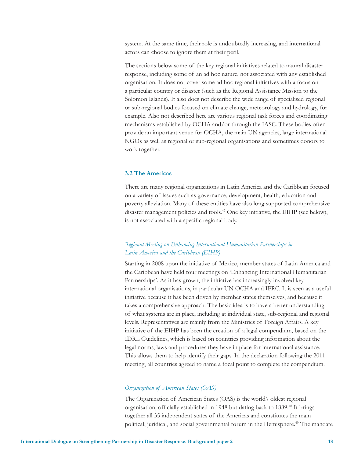system. At the same time, their role is undoubtedly increasing, and international actors can choose to ignore them at their peril.

The sections below some of the key regional initiatives related to natural disaster response, including some of an ad hoc nature, not associated with any established organisation. It does not cover some ad hoc regional initiatives with a focus on a particular country or disaster (such as the Regional Assistance Mission to the Solomon Islands). It also does not describe the wide range of specialised regional or sub-regional bodies focused on climate change, meteorology and hydrology, for example. Also not described here are various regional task forces and coordinating mechanisms established by OCHA and/or through the IASC. These bodies often provide an important venue for OCHA, the main UN agencies, large international NGOs as well as regional or sub-regional organisations and sometimes donors to work together.

#### **3.2 The Americas**

There are many regional organisations in Latin America and the Caribbean focused on a variety of issues such as governance, development, health, education and poverty alleviation. Many of these entities have also long supported comprehensive disaster management policies and tools.<sup>47</sup> One key initiative, the EIHP (see below), is not associated with a specific regional body.

### *Regional Meeting on Enhancing International Humanitarian Partnerships in Latin America and the Caribbean (EIHP)*

Starting in 2008 upon the initiative of Mexico, member states of Latin America and the Caribbean have held four meetings on 'Enhancing International Humanitarian Partnerships'. As it has grown, the initiative has increasingly involved key international organisations, in particular UN OCHA and IFRC. It is seen as a useful initiative because it has been driven by member states themselves, and because it takes a comprehensive approach. The basic idea is to have a better understanding of what systems are in place, including at individual state, sub-regional and regional levels. Representatives are mainly from the Ministries of Foreign Affairs. A key initiative of the EIHP has been the creation of a legal compendium, based on the IDRL Guidelines, which is based on countries providing information about the legal norms, laws and procedures they have in place for international assistance. This allows them to help identify their gaps. In the declaration following the 2011 meeting, all countries agreed to name a focal point to complete the compendium.

#### *Organization of American States (OAS)*

The Organization of American States (OAS) is the world's oldest regional organisation, officially established in 1948 but dating back to 1889.<sup>48</sup> It brings together all 35 independent states of the Americas and constitutes the main political, juridical, and social governmental forum in the Hemisphere.<sup>49</sup> The mandate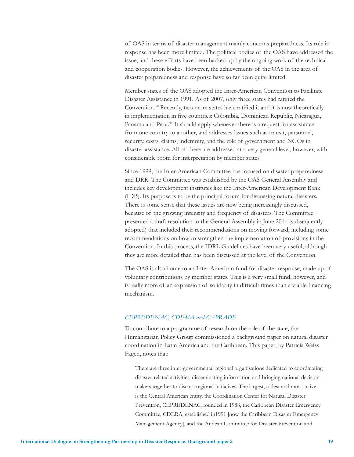of OAS in terms of disaster management mainly concerns preparedness. Its role in response has been more limited. The political bodies of the OAS have addressed the issue, and these efforts have been backed up by the ongoing work of the technical and cooperation bodies. However, the achievements of the OAS in the area of disaster preparedness and response have so far been quite limited.

Member states of the OAS adopted the Inter-American Convention to Facilitate Disaster Assistance in 1991. As of 2007, only three states had ratified the Convention.50 Recently, two more states have ratified it and it is now theoretically in implementation in five countries: Colombia, Dominican Republic, Nicaragua, Panama and Peru.<sup>51</sup> It should apply whenever there is a request for assistance from one country to another, and addresses issues such as transit, personnel, security, costs, claims, indemnity, and the role of government and NGOs in disaster assistance. All of these are addressed at a very general level, however, with considerable room for interpretation by member states.

Since 1999, the Inter-American Committee has focused on disaster preparedness and DRR. The Committee was established by the OAS General Assembly and includes key development institutes like the Inter-American Development Bank (IDB). Its purpose is to be the principal forum for discussing natural disasters. There is some sense that these issues are now being increasingly discussed, because of the growing intensity and frequency of disasters. The Committee presented a draft resolution to the General Assembly in June 2011 (subsequently adopted) that included their recommendations on moving forward, including some recommendations on how to strengthen the implementation of provisions in the Convention. In this process, the IDRL Guidelines have been very useful, although they are more detailed than has been discussed at the level of the Convention.

The OAS is also home to an Inter-American fund for disaster response, made up of voluntary contributions by member states. This is a very small fund, however, and is really more of an expression of solidarity in difficult times than a viable financing mechanism.

#### *CEPREDENAC, CDEMA and CAPRADE*

To contribute to a programme of research on the role of the state, the Humanitarian Policy Group commissioned a background paper on natural disaster coordination in Latin America and the Caribbean. This paper, by Patricia Weiss Fagen, notes that:

There are three inter-governmental regional organisations dedicated to coordinating disaster-related activities, disseminating information and bringing national decisionmakers together to discuss regional initiatives. The largest, oldest and most active is the Central American entity, the Coordination Center for Natural Disaster Prevention, CEPREDENAC, founded in 1988, the Caribbean Disaster Emergency Committee, CDERA, established in1991 [now the Caribbean Disaster Emergency Management Agency], and the Andean Committee for Disaster Prevention and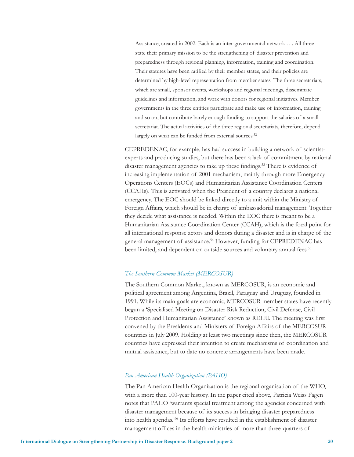Assistance, created in 2002. Each is an inter-governmental network . . . All three state their primary mission to be the strengthening of disaster prevention and preparedness through regional planning, information, training and coordination. Their statutes have been ratified by their member states, and their policies are determined by high-level representation from member states. The three secretariats, which are small, sponsor events, workshops and regional meetings, disseminate guidelines and information, and work with donors for regional initiatives. Member governments in the three entities participate and make use of information, training and so on, but contribute barely enough funding to support the salaries of a small secretariat. The actual activities of the three regional secretariats, therefore, depend largely on what can be funded from external sources.<sup>52</sup>

CEPREDENAC, for example, has had success in building a network of scientistexperts and producing studies, but there has been a lack of commitment by national disaster management agencies to take up these findings.<sup>53</sup> There is evidence of increasing implementation of 2001 mechanism, mainly through more Emergency Operations Centers (EOCs) and Humanitarian Assistance Coordination Centers (CCAHs). This is activated when the President of a country declares a national emergency. The EOC should be linked directly to a unit within the Ministry of Foreign Affairs, which should be in charge of ambassadorial management. Together they decide what assistance is needed. Within the EOC there is meant to be a Humanitarian Assistance Coordination Center (CCAH), which is the focal point for all international response actors and donors during a disaster and is in charge of the general management of assistance.<sup>54</sup> However, funding for CEPREDENAC has been limited, and dependent on outside sources and voluntary annual fees.<sup>55</sup>

#### *The Southern Common Market (MERCOSUR)*

The Southern Common Market, known as MERCOSUR, is an economic and political agreement among Argentina, Brazil, Paraguay and Uruguay, founded in 1991. While its main goals are economic, MERCOSUR member states have recently begun a 'Specialised Meeting on Disaster Risk Reduction, Civil Defense, Civil Protection and Humanitarian Assistance' known as REHU. The meeting was first convened by the Presidents and Ministers of Foreign Affairs of the MERCOSUR countries in July 2009. Holding at least two meetings since then, the MERCOSUR countries have expressed their intention to create mechanisms of coordination and mutual assistance, but to date no concrete arrangements have been made.

#### *Pan American Health Organization (PAHO)*

The Pan American Health Organization is the regional organisation of the WHO, with a more than 100-year history. In the paper cited above, Patricia Weiss Fagen notes that PAHO 'warrants special treatment among the agencies concerned with disaster management because of its success in bringing disaster preparedness into health agendas.'56 Its efforts have resulted in the establishment of disaster management offices in the health ministries of more than three-quarters of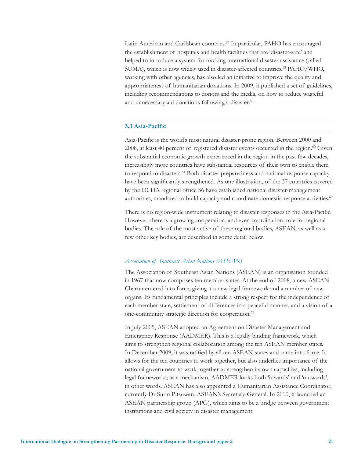Latin American and Caribbean countries.57 In particular, PAHO has encouraged the establishment of hospitals and health facilities that are 'disaster-safe' and helped to introduce a system for tracking international disaster assistance (called SUMA), which is now widely used in disaster-affected countries.<sup>58</sup> PAHO/WHO, working with other agencies, has also led an initiative to improve the quality and appropriateness of humanitarian donations. In 2009, it published a set of guidelines, including recommendations to donors and the media, on how to reduce wasteful and unnecessary aid donations following a disaster.<sup>59</sup>

#### **3.3 Asia-Pacific**

Asia-Pacific is the world's most natural disaster-prone region. Between 2000 and  $2008$ , at least 40 percent of registered disaster events occurred in the region.<sup>60</sup> Given the substantial economic growth experienced in the region in the past few decades, increasingly more countries have substantial resources of their own to enable them to respond to disasters.<sup>61</sup> Both disaster preparedness and national response capacity have been significantly strengthened. As one illustration, of the 37 countries covered by the OCHA regional office 36 have established national disaster-management authorities, mandated to build capacity and coordinate domestic response activities.<sup>62</sup>

There is no region-wide instrument relating to disaster responses in the Asia-Pacific. However, there is a growing cooperation, and even coordination, role for regional bodies. The role of the most active of these regional bodies, ASEAN, as well as a few other key bodies, are described in some detail below.

#### *Association of Southeast Asian Nations (ASEAN)*

The Association of Southeast Asian Nations (ASEAN) is an organisation founded in 1967 that now comprises ten member states. At the end of 2008, a new ASEAN Charter entered into force, giving it a new legal framework and a number of new organs. Its fundamental principles include a strong respect for the independence of each member state, settlement of differences in a peaceful manner, and a vision of a one-community strategic direction for cooperation.<sup>63</sup>

In July 2005, ASEAN adopted an Agreement on Disaster Management and Emergency Response (AADMER). This is a legally binding framework, which aims to strengthen regional collaboration among the ten ASEAN member states. In December 2009, it was ratified by all ten ASEAN states and came into force. It allows for the ten countries to work together, but also underlies importance of the national government to work together to strengthen its own capacities, including legal frameworks; as a mechanism, AADMER looks both 'inwards' and 'outwards', in other words. ASEAN has also appointed a Humanitarian Assistance Coordinator, currently Dr Surin Pitsuwan, ASEAN's Secretary-General. In 2010, it launched an ASEAN partnership group (APG), which aims to be a bridge between government institutions and civil society in disaster management.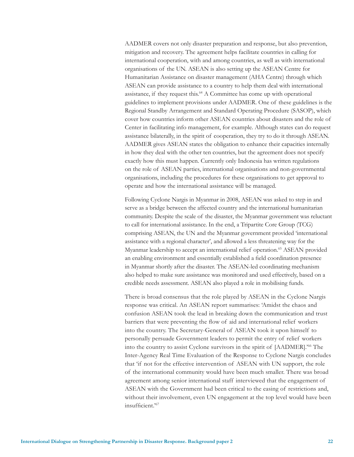AADMER covers not only disaster preparation and response, but also prevention, mitigation and recovery. The agreement helps facilitate countries in calling for international cooperation, with and among countries, as well as with international organisations of the UN. ASEAN is also setting up the ASEAN Centre for Humanitarian Assistance on disaster management (AHA Centre) through which ASEAN can provide assistance to a country to help them deal with international assistance, if they request this.<sup>64</sup> A Committee has come up with operational guidelines to implement provisions under AADMER. One of these guidelines is the Regional Standby Arrangement and Standard Operating Procedure (SASOP), which cover how countries inform other ASEAN countries about disasters and the role of Center in facilitating info management, for example. Although states can do request assistance bilaterally, in the spirit of cooperation, they try to do it through ASEAN. AADMER gives ASEAN states the obligation to enhance their capacities internally in how they deal with the other ten countries, but the agreement does not specify exactly how this must happen. Currently only Indonesia has written regulations on the role of ASEAN parties, international organisations and non-governmental organisations, including the procedures for these organisations to get approval to operate and how the international assistance will be managed.

Following Cyclone Nargis in Myanmar in 2008, ASEAN was asked to step in and serve as a bridge between the affected country and the international humanitarian community. Despite the scale of the disaster, the Myanmar government was reluctant to call for international assistance. In the end, a Tripartite Core Group (TCG) comprising ASEAN, the UN and the Myanmar government provided 'international assistance with a regional character', and allowed a less threatening way for the Myanmar leadership to accept an international relief operation.65 ASEAN provided an enabling environment and essentially established a field coordination presence in Myanmar shortly after the disaster. The ASEAN-led coordinating mechanism also helped to make sure assistance was monitored and used effectively, based on a credible needs assessment. ASEAN also played a role in mobilising funds.

There is broad consensus that the role played by ASEAN in the Cyclone Nargis response was critical. An ASEAN report summarises: 'Amidst the chaos and confusion ASEAN took the lead in breaking down the communication and trust barriers that were preventing the flow of aid and international relief workers into the country. The Secretary-General of ASEAN took it upon himself to personally persuade Government leaders to permit the entry of relief workers into the country to assist Cyclone survivors in the spirit of [AADMER].'66 The Inter-Agency Real Time Evaluation of the Response to Cyclone Nargis concludes that 'if not for the effective intervention of ASEAN with UN support, the role of the international community would have been much smaller. There was broad agreement among senior international staff interviewed that the engagement of ASEAN with the Government had been critical to the easing of restrictions and, without their involvement, even UN engagement at the top level would have been insufficient.'67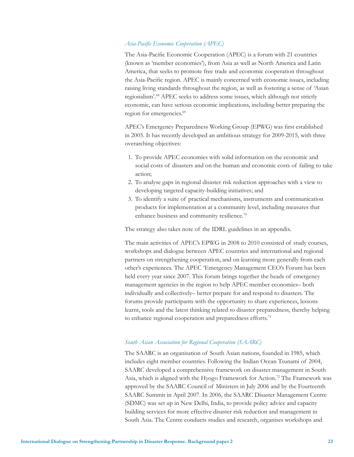#### *Asia-Pacific Economic Cooperation (APEC)*

The Asia-Pacific Economic Cooperation (APEC) is a forum with 21 countries (known as 'member economies'), from Asia as well as North America and Latin America, that seeks to promote free trade and economic cooperation throughout the Asia-Pacific region. APEC is mainly concerned with economic issues, including raising living standards throughout the region, as well as fostering a sense of 'Asian regionalism'.68 APEC seeks to address some issues, which although not strictly economic, can have serious economic implications, including better preparing the region for emergencies.<sup>69</sup>

APEC's Emergency Preparedness Working Group (EPWG) was first established in 2005. It has recently developed an ambitious strategy for 2009-2015, with three overarching objectives:

- 1. To provide APEC economies with solid information on the economic and social costs of disasters and on the human and economic costs of failing to take action;
- 2. To analyse gaps in regional disaster risk reduction approaches with a view to developing targeted capacity-building initiatives; and
- 3. To identify a suite of practical mechanisms, instruments and communication products for implementation at a community level, including measures that enhance business and community resilience.<sup>70</sup>

The strategy also takes note of the IDRL guidelines in an appendix.

The main activities of APEC's EPWG in 2008 to 2010 consisted of study courses, workshops and dialogue between APEC countries and international and regional partners on strengthening cooperation, and on learning more generally from each other's experiences. The APEC 'Emergency Management CEO's Forum has been held every year since 2007. This forum brings together the heads of emergency management agencies in the region to help APEC member economies– both individually and collectively– better prepare for and respond to disasters. The forums provide participants with the opportunity to share experiences, lessons learnt, tools and the latest thinking related to disaster preparedness, thereby helping to enhance regional cooperation and preparedness efforts.<sup>71</sup>

#### *South Asian Association for Regional Cooperation (SAARC)*

The SAARC is an organisation of South Asian nations, founded in 1985, which includes eight member countries. Following the Indian Ocean Tsunami of 2004, SAARC developed a comprehensive framework on disaster management in South Asia, which is aligned with the Hyogo Framework for Action.<sup>72</sup> The Framework was approved by the SAARC Council of Ministers in July 2006 and by the Fourteenth SAARC Summit in April 2007. In 2006, the SAARC Disaster Management Centre (SDMC) was set up in New Delhi, India, to provide policy advice and capacity building services for more effective disaster risk reduction and management in South Asia. The Centre conducts studies and research, organises workshops and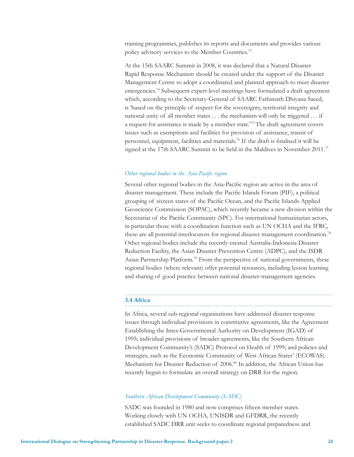training programmes, publishes its reports and documents and provides various policy advisory services to the Member Countries.73

At the 15th SAARC Summit in 2008, it was declared that a Natural Disaster Rapid Response Mechanism should be created under the support of the Disaster Management Centre to adopt a coordinated and planned approach to meet disaster emergencies.74 Subsequent expert-level meetings have formulated a draft agreement which, according to the Secretary-General of SAARC Fathimath Dhiyana Saeed, is 'based on the principle of respect for the sovereignty, territorial integrity and national unity of all member states . . . the mechanism will only be triggered . . . if a request for assistance is made by a member state.'75 The draft agreement covers issues such as exemptions and facilities for provision of assistance, transit of personnel, equipment, facilities and materials.76 If the draft is finalised it will be signed at the 17th SAARC Summit to be held in the Maldives in November 2011.<sup>77</sup>

#### *Other regional bodies in the Asia-Pacific region*

Several other regional bodies in the Asia-Pacific region are active in the area of disaster management. These include the Pacific Islands Forum (PIF), a political grouping of sixteen states of the Pacific Ocean, and the Pacific Islands Applied Geoscience Commission (SOPAC), which recently became a new division within the Secretariat of the Pacific Community (SPC). For international humanitarian actors, in particular those with a coordination function such as UN OCHA and the IFRC, these are all potential interlocutors for regional disaster management coordination.<sup>78</sup> Other regional bodies include the recently created Australia-Indonesia Disaster Reduction Facility, the Asian Disaster Prevention Centre (ADPC), and the ISDR Asian Partnership Platform.<sup>79</sup> From the perspective of national governments, these regional bodies (where relevant) offer potential resources, including lesson learning and sharing of good practice between national disaster-management agencies.

#### **3.4 Africa**

In Africa, several sub-regional organisations have addressed disaster response issues through individual provisions in constitutive agreements, like the Agreement Establishing the Inter-Governmental Authority on Development (IGAD) of 1995; individual provisions of broader agreements, like the Southern African Development Community's (SADC) Protocol on Health of 1999; and policies and strategies, such as the Economic Community of West African States' (ECOWAS) Mechanism for Disaster Reduction of 2006.<sup>80</sup> In addition, the African Union has recently begun to formulate an overall strategy on DRR for the region.

#### *Southern African Development Community (SADC)*

SADC was founded in 1980 and now comprises fifteen member states. Working closely with UN OCHA, UNISDR and GFDRR, the recently established SADC DRR unit seeks to coordinate regional preparedness and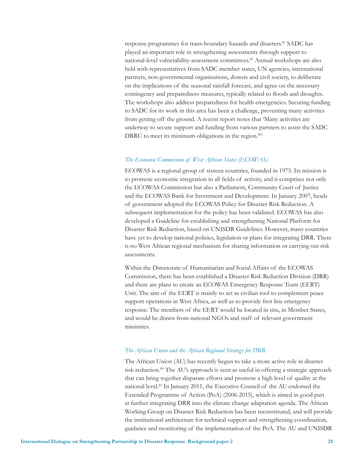response programmes for trans-boundary hazards and disasters.<sup>81</sup> SADC has played an important role in strengthening assessments through support to national-level vulnerability-assessment committees.82 Annual workshops are also held with representatives from SADC member states, UN agencies, international partners, non-governmental organisations, donors and civil society, to deliberate on the implications of the seasonal rainfall forecast, and agree on the necessary contingency and preparedness measures, typically related to floods and droughts. The workshops also address preparedness for health emergencies. Securing funding to SADC for its work in this area has been a challenge, preventing many activities from getting off the ground. A recent report notes that 'Many activities are underway to secure support and funding from various partners to assist the SADC DRRU to meet its minimum obligations in the region.<sup>83</sup>

#### *The Economic Commission of West African States (ECOWAS)*

ECOWAS is a regional group of sixteen countries, founded in 1975. Its mission is to promote economic integration in all fields of activity, and it comprises not only the ECOWAS Commission but also a Parliament, Community Court of Justice and the ECOWAS Bank for Investment and Development. In January 2007, heads of government adopted the ECOWAS Policy for Disaster Risk Reduction. A subsequent implementation for the policy has been validated. ECOWAS has also developed a Guideline for establishing and strengthening National Platform for Disaster Risk Reduction, based on UNISDR Guidelines. However, many countries have yet to develop national policies, legislation or plans for integrating DRR. There is no West African regional mechanism for sharing information or carrying out risk assessments.

Within the Directorate of Humanitarian and Social Affairs of the ECOWAS Commission, there has been established a Disaster Risk Reduction Division (DRR) and there are plans to create an ECOWAS Emergency Response Team (EERT) Unit. The aim of the EERT is mainly to act as civilian tool to complement peace support operations in West Africa, as well as to provide first line emergency response. The members of the EERT would be located in situ, in Member States, and would be drawn from national NGOs and staff of relevant government ministries.

#### *The African Union and the African Regional Strategy for DRR*

The African Union (AU) has recently begun to take a more active role in disaster risk reduction.84 The AU's approach is seen as useful in offering a strategic approach that can bring together disparate efforts and promote a high level of quality at the national level.85 In January 2011, the Executive Council of the AU endorsed the Extended Programme of Action (PoA) (2006-2015), which is aimed in good part at further integrating DRR into the climate change adaptation agenda. The African Working Group on Disaster Risk Reduction has been reconstituted, and will provide the institutional architecture for technical support and strengthening coordination, guidance and monitoring of the implementation of the PoA. The AU and UNISDR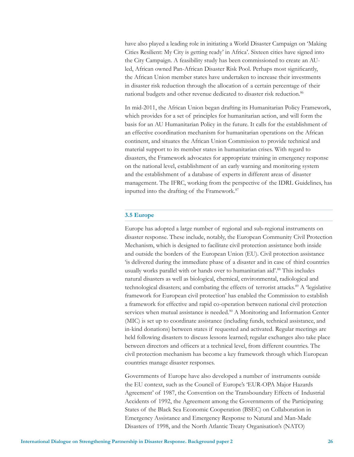have also played a leading role in initiating a World Disaster Campaign on 'Making Cities Resilient: My City is getting ready' in Africa'. Sixteen cities have signed into the City Campaign. A feasibility study has been commissioned to create an AUled, African owned Pan-African Disaster Risk Pool. Perhaps most significantly, the African Union member states have undertaken to increase their investments in disaster risk reduction through the allocation of a certain percentage of their national budgets and other revenue dedicated to disaster risk reduction.<sup>86</sup>

In mid-2011, the African Union began drafting its Humanitarian Policy Framework, which provides for a set of principles for humanitarian action, and will form the basis for an AU Humanitarian Policy in the future. It calls for the establishment of an effective coordination mechanism for humanitarian operations on the African continent, and situates the African Union Commission to provide technical and material support to its member states in humanitarian crises. With regard to disasters, the Framework advocates for appropriate training in emergency response on the national level, establishment of an early warning and monitoring system and the establishment of a database of experts in different areas of disaster management. The IFRC, working from the perspective of the IDRL Guidelines, has inputted into the drafting of the Framework.87

#### **3.5 Europe**

Europe has adopted a large number of regional and sub-regional instruments on disaster response. These include, notably, the European Community Civil Protection Mechanism, which is designed to facilitate civil protection assistance both inside and outside the borders of the European Union (EU). Civil protection assistance 'is delivered during the immediate phase of a disaster and in case of third countries usually works parallel with or hands over to humanitarian aid'.<sup>88</sup> This includes natural disasters as well as biological, chemical, environmental, radiological and technological disasters; and combating the effects of terrorist attacks.89 A 'legislative framework for European civil protection' has enabled the Commission to establish a framework for effective and rapid co-operation between national civil protection services when mutual assistance is needed.<sup>90</sup> A Monitoring and Information Center (MIC) is set up to coordinate assistance (including funds, technical assistance, and in-kind donations) between states if requested and activated. Regular meetings are held following disasters to discuss lessons learned; regular exchanges also take place between directors and officers at a technical level, from different countries. The civil protection mechanism has become a key framework through which European countries manage disaster responses.

Governments of Europe have also developed a number of instruments outside the EU context, such as the Council of Europe's 'EUR-OPA Major Hazards Agreement' of 1987, the Convention on the Transboundary Effects of Industrial Accidents of 1992, the Agreement among the Governments of the Participating States of the Black Sea Economic Cooperation (BSEC) on Collaboration in Emergency Assistance and Emergency Response to Natural and Man-Made Disasters of 1998, and the North Atlantic Treaty Organisation's (NATO)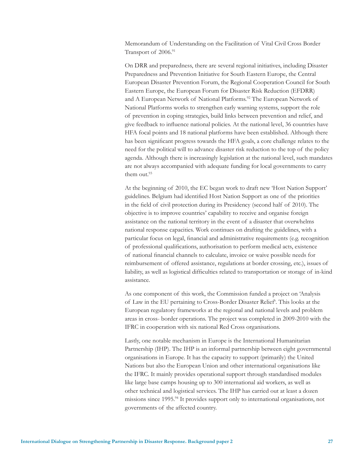Memorandum of Understanding on the Facilitation of Vital Civil Cross Border Transport of 2006.<sup>91</sup>

On DRR and preparedness, there are several regional initiatives, including Disaster Preparedness and Prevention Initiative for South Eastern Europe, the Central European Disaster Prevention Forum, the Regional Cooperation Council for South Eastern Europe, the European Forum for Disaster Risk Reduction (EFDRR) and A European Network of National Platforms.<sup>92</sup> The European Network of National Platforms works to strengthen early warning systems, support the role of prevention in coping strategies, build links between prevention and relief, and give feedback to influence national policies. At the national level, 36 countries have HFA focal points and 18 national platforms have been established. Although there has been significant progress towards the HFA goals, a core challenge relates to the need for the political will to advance disaster risk reduction to the top of the policy agenda. Although there is increasingly legislation at the national level, such mandates are not always accompanied with adequate funding for local governments to carry them out.<sup>93</sup>

At the beginning of 2010, the EC began work to draft new 'Host Nation Support' guidelines. Belgium had identified Host Nation Support as one of the priorities in the field of civil protection during its Presidency (second half of 2010). The objective is to improve countries' capability to receive and organise foreign assistance on the national territory in the event of a disaster that overwhelms national response capacities. Work continues on drafting the guidelines, with a particular focus on legal, financial and administrative requirements (e.g. recognition of professional qualifications, authorisation to perform medical acts, existence of national financial channels to calculate, invoice or waive possible needs for reimbursement of offered assistance, regulations at border crossing, etc.), issues of liability, as well as logistical difficulties related to transportation or storage of in-kind assistance.

As one component of this work, the Commission funded a project on 'Analysis of Law in the EU pertaining to Cross-Border Disaster Relief'. This looks at the European regulatory frameworks at the regional and national levels and problem areas in cross- border operations. The project was completed in 2009-2010 with the IFRC in cooperation with six national Red Cross organisations.

Lastly, one notable mechanism in Europe is the International Humanitarian Partnership (IHP). The IHP is an informal partnership between eight governmental organisations in Europe. It has the capacity to support (primarily) the United Nations but also the European Union and other international organisations like the IFRC. It mainly provides operational support through standardised modules like large base camps housing up to 300 international aid workers, as well as other technical and logistical services. The IHP has carried out at least a dozen missions since 1995.94 It provides support only to international organisations, not governments of the affected country.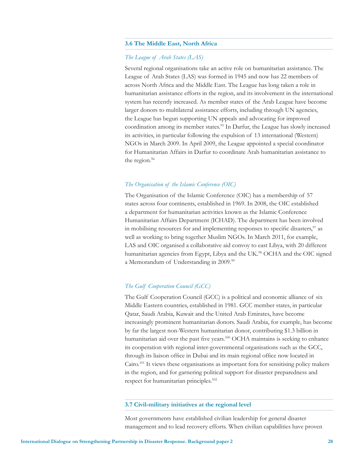#### **3.6 The Middle East, North Africa**

#### *The League of Arab States (LAS)*

Several regional organisations take an active role on humanitarian assistance. The League of Arab States (LAS) was formed in 1945 and now has 22 members of across North Africa and the Middle East. The League has long taken a role in humanitarian assistance efforts in the region, and its involvement in the international system has recently increased. As member states of the Arab League have become larger donors to multilateral assistance efforts, including through UN agencies, the League has begun supporting UN appeals and advocating for improved coordination among its member states.<sup>95</sup> In Darfur, the League has slowly increased its activities, in particular following the expulsion of 13 international (Western) NGOs in March 2009. In April 2009, the League appointed a special coordinator for Humanitarian Affairs in Darfur to coordinate Arab humanitarian assistance to the region.<sup>96</sup>

#### *The Organisation of the Islamic Conference (OIC)*

The Organisation of the Islamic Conference (OIC) has a membership of 57 states across four continents, established in 1969. In 2008, the OIC established a department for humanitarian activities known as the Islamic Conference Humanitarian Affairs Department (ICHAD). The department has been involved in mobilising resources for and implementing responses to specific disasters, 97 as well as working to bring together Muslim NGOs. In March 2011, for example, LAS and OIC organised a collaborative aid convoy to east Libya, with 20 different humanitarian agencies from Egypt, Libya and the UK.<sup>98</sup> OCHA and the OIC signed a Memorandum of Understanding in 2009.99

#### *The Gulf Cooperation Council (GCC)*

The Gulf Cooperation Council (GCC) is a political and economic alliance of six Middle Eastern countries, established in 1981. GCC member states, in particular Qatar, Saudi Arabia, Kuwait and the United Arab Emirates, have become increasingly prominent humanitarian donors. Saudi Arabia, for example, has become by far the largest non-Western humanitarian donor, contributing \$1.3 billion in humanitarian aid over the past five years.<sup>100</sup> OCHA maintains is seeking to enhance its cooperation with regional inter-governmental organisations such as the GCC, through its liaison office in Dubai and its main regional office now located in Cairo.101 It views these organisations as important fora for sensitising policy makers in the region, and for garnering political support for disaster preparedness and respect for humanitarian principles.102

#### **3.7 Civil-military initiatives at the regional level**

Most governments have established civilian leadership for general disaster management and to lead recovery efforts. When civilian capabilities have proven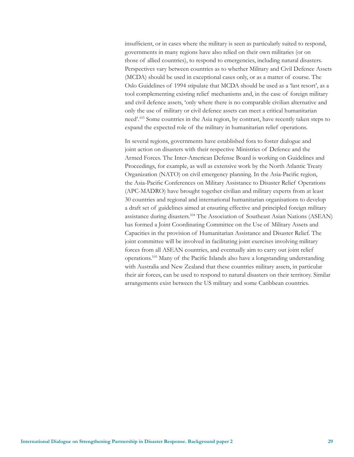insufficient, or in cases where the military is seen as particularly suited to respond, governments in many regions have also relied on their own militaries (or on those of allied countries), to respond to emergencies, including natural disasters. Perspectives vary between countries as to whether Military and Civil Defence Assets (MCDA) should be used in exceptional cases only, or as a matter of course. The Oslo Guidelines of 1994 stipulate that MCDA should be used as a 'last resort', as a tool complementing existing relief mechanisms and, in the case of foreign military and civil defence assets, 'only where there is no comparable civilian alternative and only the use of military or civil defence assets can meet a critical humanitarian need'.103 Some countries in the Asia region, by contrast, have recently taken steps to expand the expected role of the military in humanitarian relief operations.

In several regions, governments have established fora to foster dialogue and joint action on disasters with their respective Ministries of Defence and the Armed Forces. The Inter-American Defense Board is working on Guidelines and Proceedings, for example, as well as extensive work by the North Atlantic Treaty Organization (NATO) on civil emergency planning. In the Asia-Pacific region, the Asia-Pacific Conferences on Military Assistance to Disaster Relief Operations (APC-MADRO) have brought together civilian and military experts from at least 30 countries and regional and international humanitarian organisations to develop a draft set of guidelines aimed at ensuring effective and principled foreign military assistance during disasters.104 The Association of Southeast Asian Nations (ASEAN) has formed a Joint Coordinating Committee on the Use of Military Assets and Capacities in the provision of Humanitarian Assistance and Disaster Relief. The joint committee will be involved in facilitating joint exercises involving military forces from all ASEAN countries, and eventually aim to carry out joint relief operations.105 Many of the Pacific Islands also have a longstanding understanding with Australia and New Zealand that these countries military assets, in particular their air forces, can be used to respond to natural disasters on their territory. Similar arrangements exist between the US military and some Caribbean countries.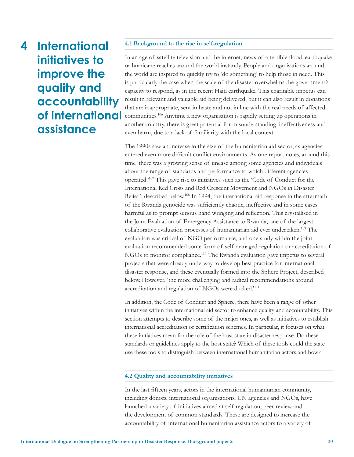**4 International initiatives to improve the quality and accountability of international assistance** 

#### **4.1 Background to the rise in self-regulation**

In an age of satellite television and the internet, news of a terrible flood, earthquake or hurricane reaches around the world instantly. People and organisations around the world are inspired to quickly try to 'do something' to help those in need. This is particularly the case when the scale of the disaster overwhelms the government's capacity to respond, as in the recent Haiti earthquake. This charitable impetus can result in relevant and valuable aid being delivered, but it can also result in donations that are inappropriate, sent in haste and not in line with the real needs of affected communities.106 Anytime a new organisation is rapidly setting up operations in another country, there is great potential for misunderstanding, ineffectiveness and even harm, due to a lack of familiarity with the local context.

The 1990s saw an increase in the size of the humanitarian aid sector, as agencies entered even more difficult conflict environments. As one report notes, around this time 'there was a growing sense of unease among some agencies and individuals about the range of standards and performance to which different agencies operated.'107 This gave rise to initiatives such as the 'Code of Conduct for the International Red Cross and Red Crescent Movement and NGOs in Disaster Relief', described below.<sup>108</sup> In 1994, the international aid response in the aftermath of the Rwanda genocide was sufficiently chaotic, ineffective and in some cases harmful as to prompt serious hand wringing and reflection. This crystallised in the Joint Evaluation of Emergency Assistance to Rwanda, one of the largest collaborative evaluation processes of humanitarian aid ever undertaken.<sup>109</sup> The evaluation was critical of NGO performance, and one study within the joint evaluation recommended some form of self-managed regulation or accreditation of NGOs to monitor compliance.110 The Rwanda evaluation gave impetus to several projects that were already underway to develop best practice for international disaster response, and these eventually formed into the Sphere Project, described below. However, 'the more challenging and radical recommendations around accreditation and regulation of NGOs were ducked.'111

In addition, the Code of Conduct and Sphere, there have been a range of other initiatives within the international aid sector to enhance quality and accountability. This section attempts to describe some of the major ones, as well as initiatives to establish international accreditation or certification schemes. In particular, it focuses on what these initiatives mean for the role of the host state in disaster response. Do these standards or guidelines apply to the host state? Which of these tools could the state use these tools to distinguish between international humanitarian actors and how?

#### **4.2 Quality and accountability initiatives**

In the last fifteen years, actors in the international humanitarian community, including donors, international organisations, UN agencies and NGOs, have launched a variety of initiatives aimed at self-regulation, peer-review and the development of common standards. These are designed to increase the accountability of international humanitarian assistance actors to a variety of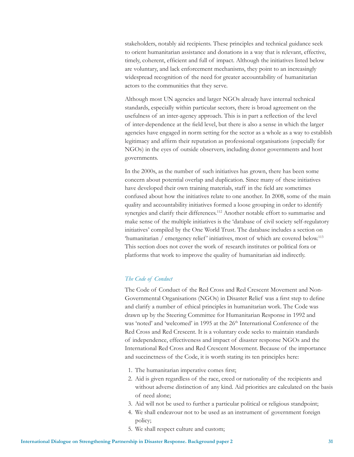stakeholders, notably aid recipients. These principles and technical guidance seek to orient humanitarian assistance and donations in a way that is relevant, effective, timely, coherent, efficient and full of impact. Although the initiatives listed below are voluntary, and lack enforcement mechanisms, they point to an increasingly widespread recognition of the need for greater accountability of humanitarian actors to the communities that they serve.

Although most UN agencies and larger NGOs already have internal technical standards, especially within particular sectors, there is broad agreement on the usefulness of an inter-agency approach. This is in part a reflection of the level of inter-dependence at the field level, but there is also a sense in which the larger agencies have engaged in norm setting for the sector as a whole as a way to establish legitimacy and affirm their reputation as professional organisations (especially for NGOs) in the eyes of outside observers, including donor governments and host governments.

In the 2000s, as the number of such initiatives has grown, there has been some concern about potential overlap and duplication. Since many of these initiatives have developed their own training materials, staff in the field are sometimes confused about how the initiatives relate to one another. In 2008, some of the main quality and accountability initiatives formed a loose grouping in order to identify synergies and clarify their differences.<sup>112</sup> Another notable effort to summarise and make sense of the multiple initiatives is the 'database of civil society self-regulatory initiatives' compiled by the One World Trust. The database includes a section on 'humanitarian / emergency relief' initiatives, most of which are covered below.<sup>113</sup> This section does not cover the work of research institutes or political fora or platforms that work to improve the quality of humanitarian aid indirectly.

#### *The Code of Conduct*

The Code of Conduct of the Red Cross and Red Crescent Movement and Non-Governmental Organisations (NGOs) in Disaster Relief was a first step to define and clarify a number of ethical principles in humanitarian work. The Code was drawn up by the Steering Committee for Humanitarian Response in 1992 and was 'noted' and 'welcomed' in 1995 at the 26<sup>th</sup> International Conference of the Red Cross and Red Crescent. It is a voluntary code seeks to maintain standards of independence, effectiveness and impact of disaster response NGOs and the International Red Cross and Red Crescent Movement. Because of the importance and succinctness of the Code, it is worth stating its ten principles here:

- 1. The humanitarian imperative comes first;
- 2. Aid is given regardless of the race, creed or nationality of the recipients and without adverse distinction of any kind. Aid priorities are calculated on the basis of need alone;
- 3. Aid will not be used to further a particular political or religious standpoint;
- 4. We shall endeavour not to be used as an instrument of government foreign policy;
- 5. We shall respect culture and custom;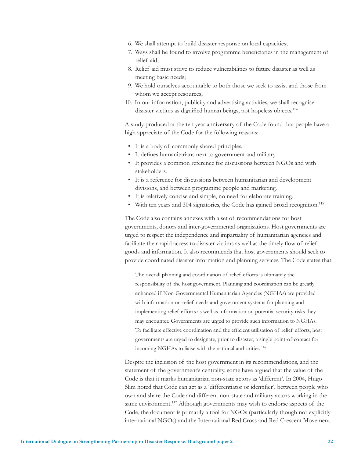- 6. We shall attempt to build disaster response on local capacities;
- 7. Ways shall be found to involve programme beneficiaries in the management of relief aid;
- 8. Relief aid must strive to reduce vulnerabilities to future disaster as well as meeting basic needs;
- 9. We hold ourselves accountable to both those we seek to assist and those from whom we accept resources;
- 10. In our information, publicity and advertising activities, we shall recognise disaster victims as dignified human beings, not hopeless objects.<sup>114</sup>

A study produced at the ten year anniversary of the Code found that people have a high appreciate of the Code for the following reasons:

- It is a body of commonly shared principles.
- It defines humanitarians next to government and military.
- It provides a common reference for discussions between NGOs and with stakeholders.
- It is a reference for discussions between humanitarian and development divisions, and between programme people and marketing.
- It is relatively concise and simple, no need for elaborate training.
- With ten years and 304 signatories, the Code has gained broad recognition.<sup>115</sup>

The Code also contains annexes with a set of recommendations for host governments, donors and inter-governmental organisations. Host governments are urged to respect the independence and impartiality of humanitarian agencies and facilitate their rapid access to disaster victims as well as the timely flow of relief goods and information. It also recommends that host governments should seek to provide coordinated disaster information and planning services. The Code states that:

The overall planning and coordination of relief efforts is ultimately the responsibility of the host government. Planning and coordination can be greatly enhanced if Non-Governmental Humanitarian Agencies (NGHAs) are provided with information on relief needs and government systems for planning and implementing relief efforts as well as information on potential security risks they may encounter. Governments are urged to provide such information to NGHAs. To facilitate effective coordination and the efficient utilisation of relief efforts, host governments are urged to designate, prior to disaster, a single point-of-contact for incoming NGHAs to liaise with the national authorities. 116

Despite the inclusion of the host government in its recommendations, and the statement of the government's centrality, some have argued that the value of the Code is that it marks humanitarian non-state actors as 'different'. In 2004, Hugo Slim noted that Code can act as a 'differentiator or identifier', between people who own and share the Code and different non-state and military actors working in the same environment.<sup>117</sup> Although governments may wish to endorse aspects of the Code, the document is primarily a tool for NGOs (particularly though not explicitly international NGOs) and the International Red Cross and Red Crescent Movement.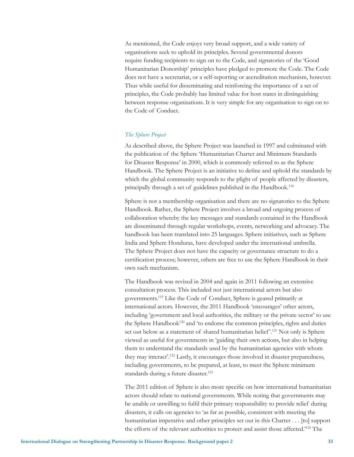As mentioned, the Code enjoys very broad support, and a wide variety of organisations seek to uphold its principles. Several governmental donors require funding recipients to sign on to the Code, and signatories of the 'Good Humanitarian Donorship' principles have pledged to promote the Code. The Code does not have a secretariat, or a self-reporting or accreditation mechanism, however. Thus while useful for disseminating and reinforcing the importance of a set of principles, the Code probably has limited value for host states in distinguishing between response organisations. It is very simple for any organisation to sign on to the Code of Conduct.

#### *The Sphere Project*

As described above, the Sphere Project was launched in 1997 and culminated with the publication of the Sphere 'Humanitarian Charter and Minimum Standards for Disaster Response' in 2000, which is commonly referred to as the Sphere Handbook. The Sphere Project is an initiative to define and uphold the standards by which the global community responds to the plight of people affected by disasters, principally through a set of guidelines published in the Handbook.<sup>118</sup>

Sphere is not a membership organisation and there are no signatories to the Sphere Handbook. Rather, the Sphere Project involves a broad and ongoing process of collaboration whereby the key messages and standards contained in the Handbook are disseminated through regular workshops, events, networking and advocacy. The handbook has been translated into 25 languages. Sphere initiatives, such as Sphere India and Sphere Honduras, have developed under the international umbrella. The Sphere Project does not have the capacity or governance structure to do a certification process; however, others are free to use the Sphere Handbook in their own such mechanism.

The Handbook was revised in 2004 and again in 2011 following an extensive consultation process. This included not just international actors but also governments.119 Like the Code of Conduct, Sphere is geared primarily at international actors. However, the 2011 Handbook 'encourages' other actors, including 'government and local authorities, the military or the private sector' to use the Sphere Handbook<sup>120</sup> and 'to endorse the common principles, rights and duties set out below as a statement of shared humanitarian belief'.<sup>121</sup> Not only is Sphere viewed as useful for governments in 'guiding their own actions, but also in helping them to understand the standards used by the humanitarian agencies with whom they may interact'.122 Lastly, it encourages those involved in disaster preparedness, including governments, to be prepared, at least, to meet the Sphere minimum standards during a future disaster.<sup>123</sup>

The 2011 edition of Sphere is also more specific on how international humanitarian actors should relate to national governments. While noting that governments may be unable or unwilling to fulfil their primary responsibility to provide relief during disasters, it calls on agencies to 'as far as possible, consistent with meeting the humanitarian imperative and other principles set out in this Charter . . . [to] support the efforts of the relevant authorities to protect and assist those affected.'124 The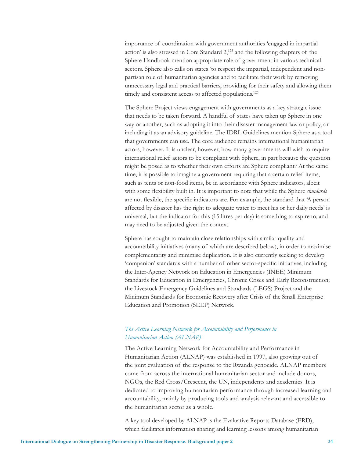importance of coordination with government authorities 'engaged in impartial action' is also stressed in Core Standard 2,<sup>125</sup> and the following chapters of the Sphere Handbook mention appropriate role of government in various technical sectors. Sphere also calls on states 'to respect the impartial, independent and nonpartisan role of humanitarian agencies and to facilitate their work by removing unnecessary legal and practical barriers, providing for their safety and allowing them timely and consistent access to affected populations.<sup>126</sup>

The Sphere Project views engagement with governments as a key strategic issue that needs to be taken forward. A handful of states have taken up Sphere in one way or another, such as adopting it into their disaster management law or policy, or including it as an advisory guideline. The IDRL Guidelines mention Sphere as a tool that governments can use. The core audience remains international humanitarian actors, however. It is unclear, however, how many governments will wish to require international relief actors to be compliant with Sphere, in part because the question might be posed as to whether their own efforts are Sphere compliant? At the same time, it is possible to imagine a government requiring that a certain relief items, such as tents or non-food items, be in accordance with Sphere indicators, albeit with some flexibility built in. It is important to note that while the Sphere *standards* are not flexible, the specific indicators are. For example, the standard that 'A person affected by disaster has the right to adequate water to meet his or her daily needs' is universal, but the indicator for this (15 litres per day) is something to aspire to, and may need to be adjusted given the context.

Sphere has sought to maintain close relationships with similar quality and accountability initiatives (many of which are described below), in order to maximise complementarity and minimise duplication. It is also currently seeking to develop 'companion' standards with a number of other sector-specific initiatives, including the Inter-Agency Network on Education in Emergencies (INEE) Minimum Standards for Education in Emergencies, Chronic Crises and Early Reconstruction; the Livestock Emergency Guidelines and Standards (LEGS) Project and the Minimum Standards for Economic Recovery after Crisis of the Small Enterprise Education and Promotion (SEEP) Network.

### *The Active Learning Network for Accountability and Performance in Humanitarian Action (ALNAP)*

The Active Learning Network for Accountability and Performance in Humanitarian Action (ALNAP) was established in 1997, also growing out of the joint evaluation of the response to the Rwanda genocide. ALNAP members come from across the international humanitarian sector and include donors, NGOs, the Red Cross/Crescent, the UN, independents and academics. It is dedicated to improving humanitarian performance through increased learning and accountability, mainly by producing tools and analysis relevant and accessible to the humanitarian sector as a whole.

A key tool developed by ALNAP is the Evaluative Reports Database (ERD), which facilitates information sharing and learning lessons among humanitarian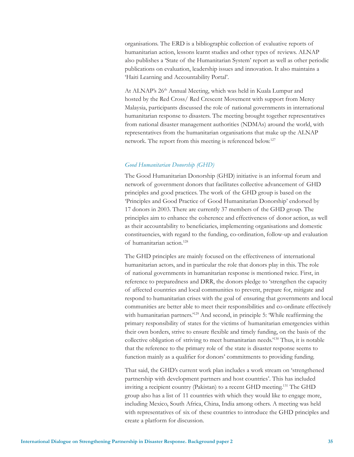organisations. The ERD is a bibliographic collection of evaluative reports of humanitarian action, lessons learnt studies and other types of reviews. ALNAP also publishes a 'State of the Humanitarian System' report as well as other periodic publications on evaluation, leadership issues and innovation. It also maintains a 'Haiti Learning and Accountability Portal'.

At ALNAP's 26<sup>th</sup> Annual Meeting, which was held in Kuala Lumpur and hosted by the Red Cross/ Red Crescent Movement with support from Mercy Malaysia, participants discussed the role of national governments in international humanitarian response to disasters. The meeting brought together representatives from national disaster management authorities (NDMAs) around the world, with representatives from the humanitarian organisations that make up the ALNAP network. The report from this meeting is referenced below.127

#### *Good Humanitarian Donorship (GHD)*

The Good Humanitarian Donorship (GHD) initiative is an informal forum and network of government donors that facilitates collective advancement of GHD principles and good practices. The work of the GHD group is based on the 'Principles and Good Practice of Good Humanitarian Donorship' endorsed by 17 donors in 2003. There are currently 37 members of the GHD group. The principles aim to enhance the coherence and effectiveness of donor action, as well as their accountability to beneficiaries, implementing organisations and domestic constituencies, with regard to the funding, co-ordination, follow-up and evaluation of humanitarian action.128

The GHD principles are mainly focused on the effectiveness of international humanitarian actors, and in particular the role that donors play in this. The role of national governments in humanitarian response is mentioned twice. First, in reference to preparedness and DRR, the donors pledge to 'strengthen the capacity of affected countries and local communities to prevent, prepare for, mitigate and respond to humanitarian crises with the goal of ensuring that governments and local communities are better able to meet their responsibilities and co-ordinate effectively with humanitarian partners.<sup>2129</sup> And second, in principle 5: 'While reaffirming the primary responsibility of states for the victims of humanitarian emergencies within their own borders, strive to ensure flexible and timely funding, on the basis of the collective obligation of striving to meet humanitarian needs.'130 Thus, it is notable that the reference to the primary role of the state is disaster response seems to function mainly as a qualifier for donors' commitments to providing funding.

That said, the GHD's current work plan includes a work stream on 'strengthened partnership with development partners and host countries'. This has included inviting a recipient country (Pakistan) to a recent GHD meeting.131 The GHD group also has a list of 11 countries with which they would like to engage more, including Mexico, South Africa, China, India among others. A meeting was held with representatives of six of these countries to introduce the GHD principles and create a platform for discussion.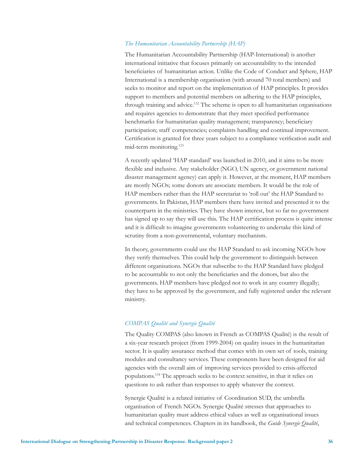#### *The Humanitarian Accountability Partnership (HAP)*

The Humanitarian Accountability Partnership (HAP-International) is another international initiative that focuses primarily on accountability to the intended beneficiaries of humanitarian action. Unlike the Code of Conduct and Sphere, HAP International is a membership organisation (with around 70 total members) and seeks to monitor and report on the implementation of HAP principles. It provides support to members and potential members on adhering to the HAP principles, through training and advice.132 The scheme is open to all humanitarian organisations and requires agencies to demonstrate that they meet specified performance benchmarks for humanitarian quality management; transparency; beneficiary participation; staff competencies; complaints handling and continual improvement. Certification is granted for three years subject to a compliance verification audit and mid-term monitoring.<sup>133</sup>

A recently updated 'HAP standard' was launched in 2010, and it aims to be more flexible and inclusive. Any stakeholder (NGO, UN agency, or government national disaster management agency) can apply it. However, at the moment, HAP members are mostly NGOs; some donors are associate members. It would be the role of HAP members rather than the HAP secretariat to 'roll out' the HAP Standard to governments. In Pakistan, HAP members there have invited and presented it to the counterparts in the ministries. They have shown interest, but so far no government has signed up to say they will use this. The HAP certification process is quite intense and it is difficult to imagine governments volunteering to undertake this kind of scrutiny from a non-governmental, voluntary mechanism.

In theory, governments could use the HAP Standard to ask incoming NGOs how they verify themselves. This could help the government to distinguish between different organisations. NGOs that subscribe to the HAP Standard have pledged to be accountable to not only the beneficiaries and the donors, but also the governments. HAP members have pledged not to work in any country illegally; they have to be approved by the government, and fully registered under the relevant ministry.

#### *COMPAS Qualité and Synergie Qualité*

The Quality COMPAS (also known in French as COMPAS Qualité) is the result of a six-year research project (from 1999-2004) on quality issues in the humanitarian sector. It is quality assurance method that comes with its own set of tools, training modules and consultancy services. These components have been designed for aid agencies with the overall aim of improving services provided to crisis-affected populations.134 The approach seeks to be context sensitive, in that it relies on questions to ask rather than responses to apply whatever the context.

Synergie Qualité is a related initiative of Coordination SUD, the umbrella organisation of French NGOs. Synergie Qualité stresses that approaches to humanitarian quality must address ethical values as well as organisational issues and technical competences. Chapters in its handbook, the *Guide Synergie Qualité*,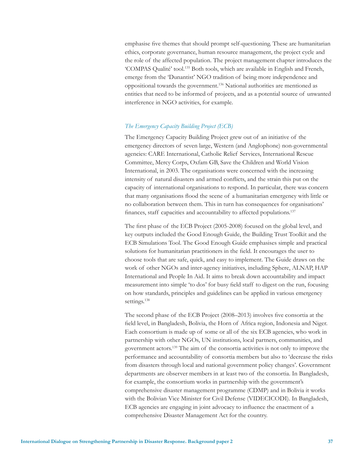emphasise five themes that should prompt self-questioning. These are humanitarian ethics, corporate governance, human resource management, the project cycle and the role of the affected population. The project management chapter introduces the 'COMPAS Qualité' tool.135 Both tools, which are available in English and French, emerge from the 'Dunantist' NGO tradition of being more independence and oppositional towards the government.136 National authorities are mentioned as entities that need to be informed of projects, and as a potential source of unwanted interference in NGO activities, for example.

#### *The Emergency Capacity Building Project (ECB)*

The Emergency Capacity Building Project grew out of an initiative of the emergency directors of seven large, Western (and Anglophone) non-governmental agencies: CARE International, Catholic Relief Services, International Rescue Committee, Mercy Corps, Oxfam GB, Save the Children and World Vision International, in 2003. The organisations were concerned with the increasing intensity of natural disasters and armed conflicts, and the strain this put on the capacity of international organisations to respond. In particular, there was concern that many organisations flood the scene of a humanitarian emergency with little or no collaboration between them. This in turn has consequences for organisations' finances, staff capacities and accountability to affected populations.<sup>137</sup>

The first phase of the ECB Project (2005-2008) focused on the global level, and key outputs included the Good Enough Guide, the Building Trust Toolkit and the ECB Simulations Tool. The Good Enough Guide emphasises simple and practical solutions for humanitarian practitioners in the field. It encourages the user to choose tools that are safe, quick, and easy to implement. The Guide draws on the work of other NGOs and inter-agency initiatives, including Sphere, ALNAP, HAP International and People In Aid. It aims to break down accountability and impact measurement into simple 'to dos' for busy field staff to digest on the run, focusing on how standards, principles and guidelines can be applied in various emergency settings.<sup>138</sup>

The second phase of the ECB Project (2008–2013) involves five consortia at the field level, in Bangladesh, Bolivia, the Horn of Africa region, Indonesia and Niger. Each consortium is made up of some or all of the six ECB agencies, who work in partnership with other NGOs, UN institutions, local partners, communities, and government actors.139 The aim of the consortia activities is not only to improve the performance and accountability of consortia members but also to 'decrease the risks from disasters through local and national government policy changes'. Government departments are observer members in at least two of the consortia. In Bangladesh, for example, the consortium works in partnership with the government's comprehensive disaster management programme (CDMP) and in Bolivia it works with the Bolivian Vice Minister for Civil Defense (VIDECICODI). In Bangladesh, ECB agencies are engaging in joint advocacy to influence the enactment of a comprehensive Disaster Management Act for the country.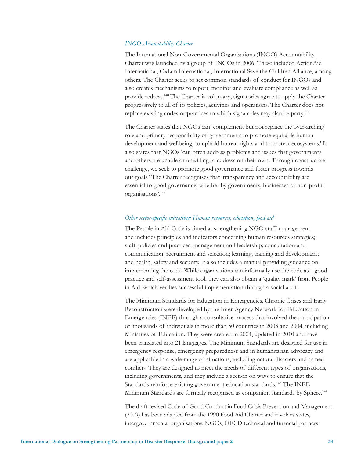#### *INGO Accountability Charter*

The International Non-Governmental Organisations (INGO) Accountability Charter was launched by a group of INGOs in 2006. These included ActionAid International, Oxfam International, International Save the Children Alliance, among others. The Charter seeks to set common standards of conduct for INGOs and also creates mechanisms to report, monitor and evaluate compliance as well as provide redress.140 The Charter is voluntary; signatories agree to apply the Charter progressively to all of its policies, activities and operations. The Charter does not replace existing codes or practices to which signatories may also be party.<sup>141</sup>

The Charter states that NGOs can 'complement but not replace the over-arching role and primary responsibility of governments to promote equitable human development and wellbeing, to uphold human rights and to protect ecosystems.' It also states that NGOs 'can often address problems and issues that governments and others are unable or unwilling to address on their own. Through constructive challenge, we seek to promote good governance and foster progress towards our goals.' The Charter recognises that 'transparency and accountability are essential to good governance, whether by governments, businesses or non-profit organisations'.142

#### *Other sector-specific initiatives: Human resources, education, food aid*

The People in Aid Code is aimed at strengthening NGO staff management and includes principles and indicators concerning human resources strategies; staff policies and practices; management and leadership; consultation and communication; recruitment and selection; learning, training and development; and health, safety and security. It also includes a manual providing guidance on implementing the code. While organisations can informally use the code as a good practice and self-assessment tool, they can also obtain a 'quality mark' from People in Aid, which verifies successful implementation through a social audit.

The Minimum Standards for Education in Emergencies, Chronic Crises and Early Reconstruction were developed by the Inter-Agency Network for Education in Emergencies (INEE) through a consultative process that involved the participation of thousands of individuals in more than 50 countries in 2003 and 2004, including Ministries of Education. They were created in 2004, updated in 2010 and have been translated into 21 languages. The Minimum Standards are designed for use in emergency response, emergency preparedness and in humanitarian advocacy and are applicable in a wide range of situations, including natural disasters and armed conflicts. They are designed to meet the needs of different types of organisations, including governments, and they include a section on ways to ensure that the Standards reinforce existing government education standards.<sup>143</sup> The INEE Minimum Standards are formally recognised as companion standards by Sphere.144

The draft revised Code of Good Conduct in Food Crisis Prevention and Management (2009) has been adapted from the 1990 Food Aid Charter and involves states, intergovernmental organisations, NGOs, OECD technical and financial partners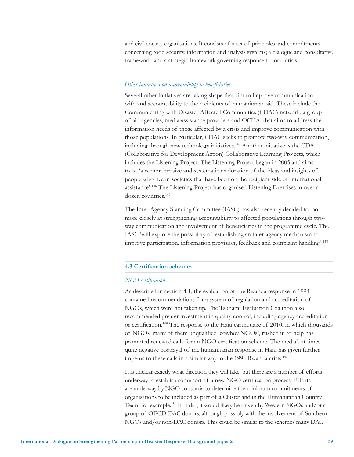and civil society organisations. It consists of a set of principles and commitments concerning food security, information and analysis systems; a dialogue and consultative framework; and a strategic framework governing response to food crisis.

#### *Other initiatives on accountability to beneficiaries*

Several other initiatives are taking shape that aim to improve communication with and accountability to the recipients of humanitarian aid. These include the Communicating with Disaster Affected Communities (CDAC) network, a group of aid agencies, media assistance providers and OCHA, that aims to address the information needs of those affected by a crisis and improve communication with those populations. In particular, CDAC seeks to promote two-way communication, including through new technology initiatives.145 Another initiative is the CDA (Collaborative for Development Action) Collaborative Learning Projects, which includes the Listening Project. The Listening Project began in 2005 and aims to be 'a comprehensive and systematic exploration of the ideas and insights of people who live in societies that have been on the recipient side of international assistance'.146 The Listening Project has organised Listening Exercises in over a dozen countries.<sup>147</sup>

The Inter Agency Standing Committee (IASC) has also recently decided to look more closely at strengthening accountability to affected populations through twoway communication and involvement of beneficiaries in the programme cycle. The IASC 'will explore the possibility of establishing an inter-agency mechanism to improve participation, information provision, feedback and complaint handling'.148

#### **4.3 Certification schemes**

#### *NGO certification*

As described in section 4.1, the evaluation of the Rwanda response in 1994 contained recommendations for a system of regulation and accreditation of NGOs, which were not taken up. The Tsunami Evaluation Coalition also recommended greater investment in quality control, including agency accreditation or certification.149 The response to the Haiti earthquake of 2010, in which thousands of NGOs, many of them unqualified 'cowboy NGOs', rushed in to help has prompted renewed calls for an NGO certification scheme. The media's at times quite negative portrayal of the humanitarian response in Haiti has given further impetus to these calls in a similar way to the 1994 Rwanda crisis.<sup>150</sup>

It is unclear exactly what direction they will take, but there are a number of efforts underway to establish some sort of a new NGO certification process. Efforts are underway by NGO consortia to determine the minimum commitments of organisations to be included as part of a Cluster and in the Humanitarian Country Team, for example.151 If it did, it would likely be driven by Western NGOs and/or a group of OECD-DAC donors, although possibly with the involvement of Southern NGOs and/or non-DAC donors. This could be similar to the schemes many DAC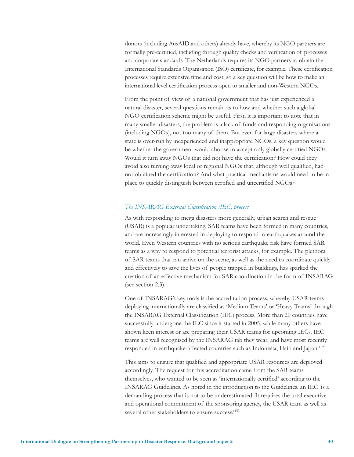donors (including AusAID and others) already have, whereby its NGO partners are formally pre-certified, including through quality checks and verification of processes and corporate standards. The Netherlands requires its NGO partners to obtain the International Standards Organisation (ISO) certificate, for example. These certification processes require extensive time and cost, so a key question will be how to make an international level certification process open to smaller and non-Western NGOs.

From the point of view of a national government that has just experienced a natural disaster, several questions remain as to how and whether such a global NGO certification scheme might be useful. First, it is important to note that in many smaller disasters, the problem is a lack of funds and responding organisations (including NGOs), not too many of them. But even for large disasters where a state is over-run by inexperienced and inappropriate NGOs, a key question would be whether the government would choose to accept only globally certified NGOs. Would it turn away NGOs that did not have the certification? How could they avoid also turning away local or regional NGOs that, although well qualified, had not obtained the certification? And what practical mechanisms would need to be in place to quickly distinguish between certified and uncertified NGOs?

#### *The INSARAG External Classification (IEC) process*

As with responding to mega disasters more generally, urban search and rescue (USAR) is a popular undertaking. SAR teams have been formed in many countries, and are increasingly interested in deploying to respond to earthquakes around the world. Even Western countries with no serious earthquake risk have formed SAR teams as a way to respond to potential terrorist attacks, for example. The plethora of SAR teams that can arrive on the scene, as well as the need to coordinate quickly and effectively to save the lives of people trapped in buildings, has sparked the creation of an effective mechanism for SAR coordination in the form of INSARAG (see section 2.3).

One of INSARAG's key tools is the accreditation process, whereby USAR teams deploying internationally are classified as 'Medium Teams' or 'Heavy Teams' through the INSARAG External Classification (IEC) process. More than 20 countries have successfully undergone the IEC since it started in 2005, while many others have shown keen interest or are preparing their USAR teams for upcoming IECs. IEC teams are well recognised by the INSARAG tab they wear, and have most recently responded in earthquake-affected countries such as Indonesia, Haiti and Japan.<sup>152</sup>

This aims to ensure that qualified and appropriate USAR resources are deployed accordingly. The request for this accreditation came from the SAR teams themselves, who wanted to be seen as 'internationally certified' according to the INSARAG Guidelines. As noted in the introduction to the Guidelines, an IEC 'is a demanding process that is not to be underestimated. It requires the total executive and operational commitment of the sponsoring agency, the USAR team as well as several other stakeholders to ensure success.'153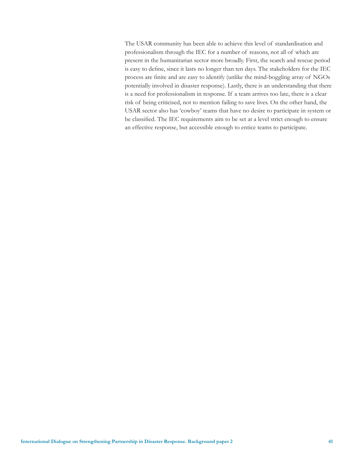The USAR community has been able to achieve this level of standardisation and professionalism through the IEC for a number of reasons, not all of which are present in the humanitarian sector more broadly. First, the search and rescue period is easy to define, since it lasts no longer than ten days. The stakeholders for the IEC process are finite and are easy to identify (unlike the mind-boggling array of NGOs potentially involved in disaster response). Lastly, there is an understanding that there is a need for professionalism in response. If a team arrives too late, there is a clear risk of being criticised, not to mention failing to save lives. On the other hand, the USAR sector also has 'cowboy' teams that have no desire to participate in system or be classified. The IEC requirements aim to be set at a level strict enough to ensure an effective response, but accessible enough to entice teams to participate.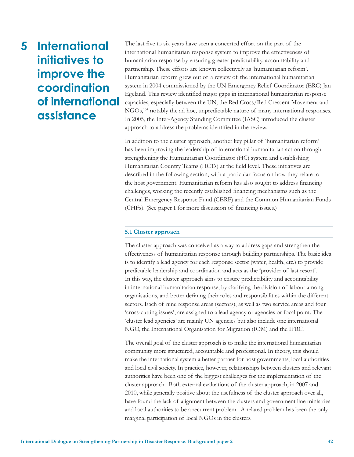**5 International initiatives to improve the coordination of international assistance**

The last five to six years have seen a concerted effort on the part of the international humanitarian response system to improve the effectiveness of humanitarian response by ensuring greater predictability, accountability and partnership. These efforts are known collectively as 'humanitarian reform'. Humanitarian reform grew out of a review of the international humanitarian system in 2004 commissioned by the UN Emergency Relief Coordinator (ERC) Jan Egeland. This review identified major gaps in international humanitarian response capacities, especially between the UN, the Red Cross/Red Crescent Movement and NGOs,154 notably the ad hoc, unpredictable nature of many international responses. In 2005, the Inter-Agency Standing Committee (IASC) introduced the cluster approach to address the problems identified in the review.

In addition to the cluster approach, another key pillar of 'humanitarian reform' has been improving the leadership of international humanitarian action through strengthening the Humanitarian Coordinator (HC) system and establishing Humanitarian Country Teams (HCTs) at the field level. These initiatives are described in the following section, with a particular focus on how they relate to the host government. Humanitarian reform has also sought to address financing challenges, working the recently established financing mechanisms such as the Central Emergency Response Fund (CERF) and the Common Humanitarian Funds (CHFs). (See paper I for more discussion of financing issues.)

#### **5.1 Cluster approach**

The cluster approach was conceived as a way to address gaps and strengthen the effectiveness of humanitarian response through building partnerships. The basic idea is to identify a lead agency for each response sector (water, health, etc.) to provide predictable leadership and coordination and acts as the 'provider of last resort'. In this way, the cluster approach aims to ensure predictability and accountability in international humanitarian response, by clarifying the division of labour among organisations, and better defining their roles and responsibilities within the different sectors. Each of nine response areas (sectors), as well as two service areas and four 'cross-cutting issues', are assigned to a lead agency or agencies or focal point. The 'cluster lead agencies' are mainly UN agencies but also include one international NGO, the International Organisation for Migration (IOM) and the IFRC.

The overall goal of the cluster approach is to make the international humanitarian community more structured, accountable and professional. In theory, this should make the international system a better partner for host governments, local authorities and local civil society. In practice, however, relationships between clusters and relevant authorities have been one of the biggest challenges for the implementation of the cluster approach. Both external evaluations of the cluster approach, in 2007 and 2010, while generally positive about the usefulness of the cluster approach over all, have found the lack of alignment between the clusters and government line ministries and local authorities to be a recurrent problem. A related problem has been the only marginal participation of local NGOs in the clusters.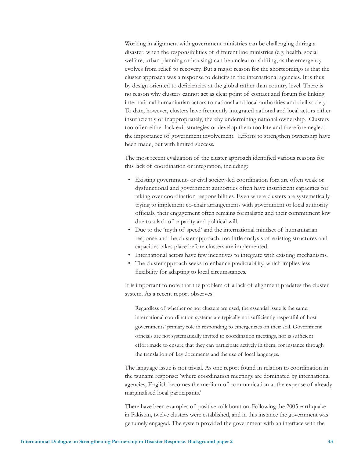Working in alignment with government ministries can be challenging during a disaster, when the responsibilities of different line ministries (e.g. health, social welfare, urban planning or housing) can be unclear or shifting, as the emergency evolves from relief to recovery. But a major reason for the shortcomings is that the cluster approach was a response to deficits in the international agencies. It is thus by design oriented to deficiencies at the global rather than country level. There is no reason why clusters cannot act as clear point of contact and forum for linking international humanitarian actors to national and local authorities and civil society. To date, however, clusters have frequently integrated national and local actors either insufficiently or inappropriately, thereby undermining national ownership. Clusters too often either lack exit strategies or develop them too late and therefore neglect the importance of government involvement. Efforts to strengthen ownership have been made, but with limited success.

The most recent evaluation of the cluster approach identified various reasons for this lack of coordination or integration, including:

- Existing government- or civil society-led coordination fora are often weak or dysfunctional and government authorities often have insufficient capacities for taking over coordination responsibilities. Even where clusters are systematically trying to implement co-chair arrangements with government or local authority officials, their engagement often remains formalistic and their commitment low due to a lack of capacity and political will.
- Due to the 'myth of speed' and the international mindset of humanitarian response and the cluster approach, too little analysis of existing structures and capacities takes place before clusters are implemented.
- International actors have few incentives to integrate with existing mechanisms.
- The cluster approach seeks to enhance predictability, which implies less flexibility for adapting to local circumstances.

It is important to note that the problem of a lack of alignment predates the cluster system. As a recent report observes:

Regardless of whether or not clusters are used, the essential issue is the same: international coordination systems are typically not sufficiently respectful of host governments' primary role in responding to emergencies on their soil. Government officials are not systematically invited to coordination meetings, nor is sufficient effort made to ensure that they can participate actively in them, for instance through the translation of key documents and the use of local languages.

The language issue is not trivial. As one report found in relation to coordination in the tsunami response: 'where coordination meetings are dominated by international agencies, English becomes the medium of communication at the expense of already marginalised local participants.'

There have been examples of positive collaboration. Following the 2005 earthquake in Pakistan, twelve clusters were established, and in this instance the government was genuinely engaged. The system provided the government with an interface with the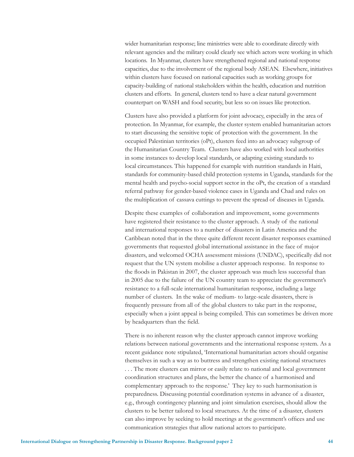wider humanitarian response; line ministries were able to coordinate directly with relevant agencies and the military could clearly see which actors were working in which locations. In Myanmar, clusters have strengthened regional and national response capacities, due to the involvement of the regional body ASEAN. Elsewhere, initiatives within clusters have focused on national capacities such as working groups for capacity-building of national stakeholders within the health, education and nutrition clusters and efforts. In general, clusters tend to have a clear natural government counterpart on WASH and food security, but less so on issues like protection.

Clusters have also provided a platform for joint advocacy, especially in the area of protection. In Myanmar, for example, the cluster system enabled humanitarian actors to start discussing the sensitive topic of protection with the government. In the occupied Palestinian territories (oPt), clusters feed into an advocacy subgroup of the Humanitarian Country Team. Clusters have also worked with local authorities in some instances to develop local standards, or adapting existing standards to local circumstances. This happened for example with nutrition standards in Haiti, standards for community-based child protection systems in Uganda, standards for the mental health and psycho-social support sector in the oPt, the creation of a standard referral pathway for gender-based violence cases in Uganda and Chad and rules on the multiplication of cassava cuttings to prevent the spread of diseases in Uganda.

Despite these examples of collaboration and improvement, some governments have registered their resistance to the cluster approach. A study of the national and international responses to a number of disasters in Latin America and the Caribbean noted that in the three quite different recent disaster responses examined governments that requested global international assistance in the face of major disasters, and welcomed OCHA assessment missions (UNDAC), specifically did not request that the UN system mobilise a cluster approach response. In response to the floods in Pakistan in 2007, the cluster approach was much less successful than in 2005 due to the failure of the UN country team to appreciate the government's resistance to a full-scale international humanitarian response, including a large number of clusters. In the wake of medium- to large-scale disasters, there is frequently pressure from all of the global clusters to take part in the response, especially when a joint appeal is being compiled. This can sometimes be driven more by headquarters than the field.

There is no inherent reason why the cluster approach cannot improve working relations between national governments and the international response system. As a recent guidance note stipulated, 'International humanitarian actors should organise themselves in such a way as to buttress and strengthen existing national structures . . . The more clusters can mirror or easily relate to national and local government coordination structures and plans, the better the chance of a harmonised and complementary approach to the response.' They key to such harmonisation is preparedness. Discussing potential coordination systems in advance of a disaster, e.g., through contingency planning and joint simulation exercises, should allow the clusters to be better tailored to local structures. At the time of a disaster, clusters can also improve by seeking to hold meetings at the government's offices and use communication strategies that allow national actors to participate.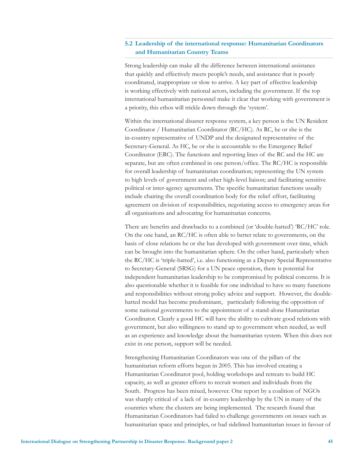#### **5.2 Leadership of the international response: Humanitarian Coordinators and Humanitarian Country Teams**

Strong leadership can make all the difference between international assistance that quickly and effectively meets people's needs, and assistance that is poorly coordinated, inappropriate or slow to arrive. A key part of effective leadership is working effectively with national actors, including the government. If the top international humanitarian personnel make it clear that working with government is a priority, this ethos will trickle down through the 'system'.

Within the international disaster response system, a key person is the UN Resident Coordinator / Humanitarian Coordinator (RC/HC). As RC, he or she is the in-country representative of UNDP and the designated representative of the Secretary-General. As HC, he or she is accountable to the Emergency Relief Coordinator (ERC). The functions and reporting lines of the RC and the HC are separate, but are often combined in one person/office. The RC/HC is responsible for overall leadership of humanitarian coordination; representing the UN system to high levels of government and other high-level liaison; and facilitating sensitive political or inter-agency agreements. The specific humanitarian functions usually include chairing the overall coordination body for the relief effort, facilitating agreement on division of responsibilities, negotiating access to emergency areas for all organisations and advocating for humanitarian concerns.

There are benefits and drawbacks to a combined (or 'double-hatted') 'RC/HC' role. On the one hand, an RC/HC is often able to better relate to governments, on the basis of close relations he or she has developed with government over time, which can be brought into the humanitarian sphere. On the other hand, particularly when the RC/HC is 'triple-hatted', i.e. also functioning as a Deputy Special Representative to Secretary-General (SRSG) for a UN peace operation, there is potential for independent humanitarian leadership to be compromised by political concerns. It is also questionable whether it is feasible for one individual to have so many functions and responsibilities without strong policy advice and support. However, the doublehatted model has become predominant, particularly following the opposition of some national governments to the appointment of a stand-alone Humanitarian Coordinator. Clearly a good HC will have the ability to cultivate good relations with government, but also willingness to stand up to government when needed, as well as an experience and knowledge about the humanitarian system. When this does not exist in one person, support will be needed.

Strengthening Humanitarian Coordinators was one of the pillars of the humanitarian reform efforts begun in 2005. This has involved creating a Humanitarian Coordinator pool, holding workshops and retreats to build HC capacity, as well as greater efforts to recruit women and individuals from the South. Progress has been mixed, however. One report by a coalition of NGOs was sharply critical of a lack of in-country leadership by the UN in many of the countries where the clusters are being implemented. The research found that Humanitarian Coordinators had failed to challenge governments on issues such as humanitarian space and principles, or had sidelined humanitarian issues in favour of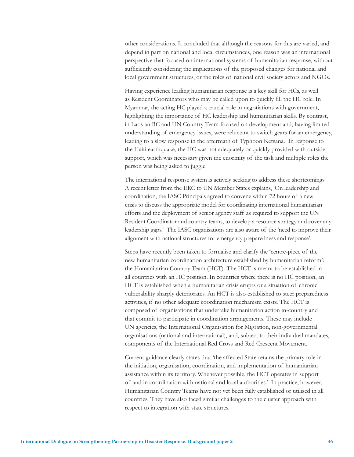other considerations. It concluded that although the reasons for this are varied, and depend in part on national and local circumstances, one reason was an international perspective that focused on international systems of humanitarian response, without sufficiently considering the implications of the proposed changes for national and local government structures, or the roles of national civil society actors and NGOs.

Having experience leading humanitarian response is a key skill for HCs, as well as Resident Coordinators who may be called upon to quickly fill the HC role. In Myanmar, the acting HC played a crucial role in negotiations with government, highlighting the importance of HC leadership and humanitarian skills. By contrast, in Laos an RC and UN Country Team focused on development and, having limited understanding of emergency issues, were reluctant to switch gears for an emergency, leading to a slow response in the aftermath of Typhoon Ketsana. In response to the Haiti earthquake, the HC was not adequately or quickly provided with outside support, which was necessary given the enormity of the task and multiple roles the person was being asked to juggle.

The international response system is actively seeking to address these shortcomings. A recent letter from the ERC to UN Member States explains, 'On leadership and coordination, the IASC Principals agreed to convene within 72 hours of a new crisis to discuss the appropriate model for coordinating international humanitarian efforts and the deployment of senior agency staff as required to support the UN Resident Coordinator and country teams, to develop a resource strategy and cover any leadership gaps.' The IASC organisations are also aware of the 'need to improve their alignment with national structures for emergency preparedness and response'.

Steps have recently been taken to formalise and clarify the 'centre-piece of the new humanitarian coordination architecture established by humanitarian reform': the Humanitarian Country Team (HCT). The HCT is meant to be established in all countries with an HC position. In countries where there is no HC position, an HCT is established when a humanitarian crisis erupts or a situation of chronic vulnerability sharply deteriorates. An HCT is also established to steer preparedness activities, if no other adequate coordination mechanism exists. The HCT is composed of organisations that undertake humanitarian action in-country and that commit to participate in coordination arrangements. These may include UN agencies, the International Organisation for Migration, non-governmental organisations (national and international), and, subject to their individual mandates, components of the International Red Cross and Red Crescent Movement.

Current guidance clearly states that 'the affected State retains the primary role in the initiation, organisation, coordination, and implementation of humanitarian assistance within its territory. Whenever possible, the HCT operates in support of and in coordination with national and local authorities.' In practice, however, Humanitarian Country Teams have not yet been fully established or utilised in all countries. They have also faced similar challenges to the cluster approach with respect to integration with state structures.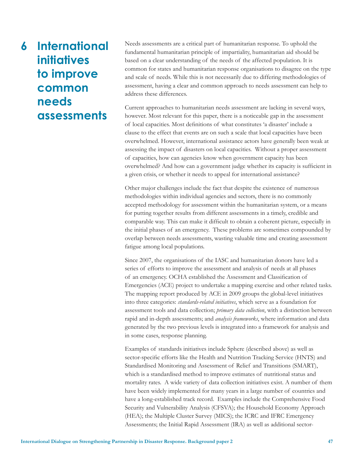## **6 International initiatives to improve common needs assessments**

Needs assessments are a critical part of humanitarian response. To uphold the fundamental humanitarian principle of impartiality, humanitarian aid should be based on a clear understanding of the needs of the affected population. It is common for states and humanitarian response organisations to disagree on the type and scale of needs. While this is not necessarily due to differing methodologies of assessment, having a clear and common approach to needs assessment can help to address these differences.

Current approaches to humanitarian needs assessment are lacking in several ways, however. Most relevant for this paper, there is a noticeable gap in the assessment of local capacities. Most definitions of what constitutes 'a disaster' include a clause to the effect that events are on such a scale that local capacities have been overwhelmed. However, international assistance actors have generally been weak at assessing the impact of disasters on local capacities. Without a proper assessment of capacities, how can agencies know when government capacity has been overwhelmed? And how can a government judge whether its capacity is sufficient in a given crisis, or whether it needs to appeal for international assistance?

Other major challenges include the fact that despite the existence of numerous methodologies within individual agencies and sectors, there is no commonly accepted methodology for assessment within the humanitarian system, or a means for putting together results from different assessments in a timely, credible and comparable way. This can make it difficult to obtain a coherent picture, especially in the initial phases of an emergency. These problems are sometimes compounded by overlap between needs assessments, wasting valuable time and creating assessment fatigue among local populations.

Since 2007, the organisations of the IASC and humanitarian donors have led a series of efforts to improve the assessment and analysis of needs at all phases of an emergency. OCHA established the Assessment and Classification of Emergencies (ACE) project to undertake a mapping exercise and other related tasks. The mapping report produced by ACE in 2009 groups the global-level initiatives into three categories: *standards-related initiatives*, which serve as a foundation for assessment tools and data collection; *primary data collection*, with a distinction between rapid and in-depth assessments; and *analysis frameworks*, where information and data generated by the two previous levels is integrated into a framework for analysis and in some cases, response planning.

Examples of standards initiatives include Sphere (described above) as well as sector-specific efforts like the Health and Nutrition Tracking Service (HNTS) and Standardised Monitoring and Assessment of Relief and Transitions (SMART), which is a standardised method to improve estimates of nutritional status and mortality rates. A wide variety of data collection initiatives exist. A number of them have been widely implemented for many years in a large number of countries and have a long-established track record. Examples include the Comprehensive Food Security and Vulnerability Analysis (CFSVA); the Household Economy Approach (HEA); the Multiple Cluster Survey (MICS); the ICRC and IFRC Emergency Assessments; the Initial Rapid Assessment (IRA) as well as additional sector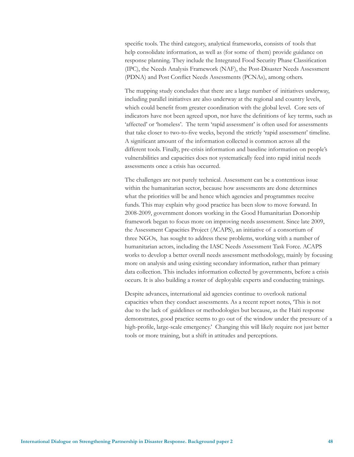specific tools. The third category, analytical frameworks, consists of tools that help consolidate information, as well as (for some of them) provide guidance on response planning. They include the Integrated Food Security Phase Classification (IPC), the Needs Analysis Framework (NAF), the Post-Disaster Needs Assessment (PDNA) and Post Conflict Needs Assessments (PCNAs), among others.

The mapping study concludes that there are a large number of initiatives underway, including parallel initiatives are also underway at the regional and country levels, which could benefit from greater coordination with the global level. Core sets of indicators have not been agreed upon, nor have the definitions of key terms, such as 'affected' or 'homeless'. The term 'rapid assessment' is often used for assessments that take closer to two-to-five weeks, beyond the strictly 'rapid assessment' timeline. A significant amount of the information collected is common across all the different tools. Finally, pre-crisis information and baseline information on people's vulnerabilities and capacities does not systematically feed into rapid initial needs assessments once a crisis has occurred.

The challenges are not purely technical. Assessment can be a contentious issue within the humanitarian sector, because how assessments are done determines what the priorities will be and hence which agencies and programmes receive funds. This may explain why good practice has been slow to move forward. In 2008-2009, government donors working in the Good Humanitarian Donorship framework began to focus more on improving needs assessment. Since late 2009, the Assessment Capacities Project (ACAPS), an initiative of a consortium of three NGOs, has sought to address these problems, working with a number of humanitarian actors, including the IASC Needs Assessment Task Force. ACAPS works to develop a better overall needs assessment methodology, mainly by focusing more on analysis and using existing secondary information, rather than primary data collection. This includes information collected by governments, before a crisis occurs. It is also building a roster of deployable experts and conducting trainings.

Despite advances, international aid agencies continue to overlook national capacities when they conduct assessments. As a recent report notes, 'This is not due to the lack of guidelines or methodologies but because, as the Haiti response demonstrates, good practice seems to go out of the window under the pressure of a high-profile, large-scale emergency.' Changing this will likely require not just better tools or more training, but a shift in attitudes and perceptions.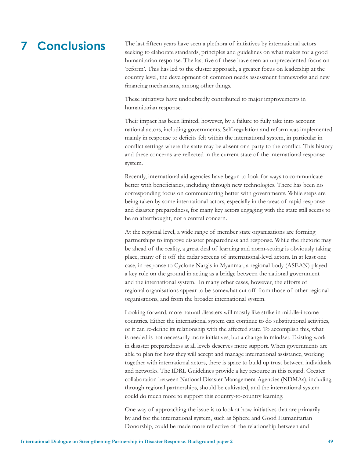### **7 Conclusions**

The last fifteen years have seen a plethora of initiatives by international actors seeking to elaborate standards, principles and guidelines on what makes for a good humanitarian response. The last five of these have seen an unprecedented focus on 'reform'. This has led to the cluster approach, a greater focus on leadership at the country level, the development of common needs assessment frameworks and new financing mechanisms, among other things.

These initiatives have undoubtedly contributed to major improvements in humanitarian response.

Their impact has been limited, however, by a failure to fully take into account national actors, including governments. Self-regulation and reform was implemented mainly in response to deficits felt within the international system, in particular in conflict settings where the state may be absent or a party to the conflict. This history and these concerns are reflected in the current state of the international response system.

Recently, international aid agencies have begun to look for ways to communicate better with beneficiaries, including through new technologies. There has been no corresponding focus on communicating better with governments. While steps are being taken by some international actors, especially in the areas of rapid response and disaster preparedness, for many key actors engaging with the state still seems to be an afterthought, not a central concern.

At the regional level, a wide range of member state organisations are forming partnerships to improve disaster preparedness and response. While the rhetoric may be ahead of the reality, a great deal of learning and norm-setting is obviously taking place, many of it off the radar screens of international-level actors. In at least one case, in response to Cyclone Nargis in Myanmar, a regional body (ASEAN) played a key role on the ground in acting as a bridge between the national government and the international system. In many other cases, however, the efforts of regional organisations appear to be somewhat cut off from those of other regional organisations, and from the broader international system.

Looking forward, more natural disasters will mostly like strike in middle-income countries. Either the international system can continue to do substitutional activities, or it can re-define its relationship with the affected state. To accomplish this, what is needed is not necessarily more initiatives, but a change in mindset. Existing work in disaster preparedness at all levels deserves more support. When governments are able to plan for how they will accept and manage international assistance, working together with international actors, there is space to build up trust between individuals and networks. The IDRL Guidelines provide a key resource in this regard. Greater collaboration between National Disaster Management Agencies (NDMAs), including through regional partnerships, should be cultivated, and the international system could do much more to support this country-to-country learning.

One way of approaching the issue is to look at how initiatives that are primarily by and for the international system, such as Sphere and Good Humanitarian Donorship, could be made more reflective of the relationship between and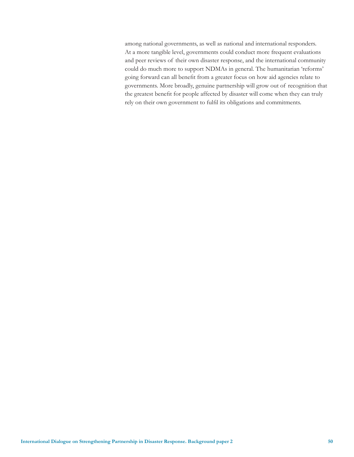among national governments, as well as national and international responders. At a more tangible level, governments could conduct more frequent evaluations and peer reviews of their own disaster response, and the international community could do much more to support NDMAs in general. The humanitarian 'reforms' going forward can all benefit from a greater focus on how aid agencies relate to governments. More broadly, genuine partnership will grow out of recognition that the greatest benefit for people affected by disaster will come when they can truly rely on their own government to fulfil its obligations and commitments.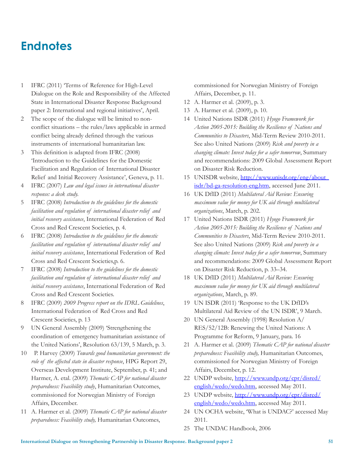### **Endnotes**

- 1 IFRC (2011) 'Terms of Reference for High-Level Dialogue on the Role and Responsibility of the Affected State in International Disaster Response Background paper 2: International and regional initiatives', April.
- 2 The scope of the dialogue will be limited to nonconflict situations – the rules/laws applicable in armed conflict being already defined through the various instruments of international humanitarian law.
- 3 This definition is adapted from IFRC (2008) 'Introduction to the Guidelines for the Domestic Facilitation and Regulation of International Disaster Relief and Initial Recovery Assistance', Geneva, p. 11.
- 4 IFRC (2007) *Law and legal issues in international disaster response: a desk study.*
- 5 IFRC (2008) *Introduction to the guidelines for the domestic facilitation and regulation of international disaster relief and initial recovery assistance*, International Federation of Red Cross and Red Crescent Societies, p. 4.
- 6 IFRC (2008) *Introduction to the guidelines for the domestic facilitation and regulation of international disaster relief and initial recovery assistance*, International Federation of Red Cross and Red Crescent Societies,p. 6.
- 7 IFRC (2008) *Introduction to the guidelines for the domestic facilitation and regulation of international disaster relief and initial recovery assistance*, International Federation of Red Cross and Red Crescent Societies.
- 8 IFRC (2009) *2009 Progress report on the IDRL Guidelines*, International Federation of Red Cross and Red Crescent Societies, p. 13
- 9 UN General Assembly (2009) 'Strengthening the coordination of emergency humanitarian assistance of the United Nations', Resolution 63/139, 5 March, p. 3.
- 10 P. Harvey (2009) *Towards good humanitarian government: the role of the affected state in disaster response*, HPG Report 29, Overseas Development Institute, September, p. 41; and Harmer, A. etal. (2009) *Thematic CAP for national disaster preparedness: Feasibility study*, Humanitarian Outcomes, commissioned for Norwegian Ministry of Foreign Affairs, December.
- 11 A. Harmer et al. (2009) *Thematic CAP for national disaster preparedness: Feasibility study,* Humanitarian Outcomes,

commissioned for Norwegian Ministry of Foreign Affairs, December, p. 11.

- 12 A. Harmer et al. (2009), p. 3.
- 13 A. Harmer et al. (2009), p. 10.
- 14 United Nations ISDR (2011) *Hyogo Framework for Action 2005-2015: Building the Resilience of Nations and Communities to Disasters*, Mid-Term Review 2010-2011. See also United Nations (2009) *Risk and poverty in a changing climate: Invest today for a safer tomorrow*, Summary and recommendations: 2009 Global Assessment Report on Disaster Risk Reduction.
- 15 UNISDR website, http://www.unisdr.org/eng/about\_ isdr/bd-ga-resolution-eng.htm, accessed June 2011.
- 16 UK DfID (2011) *Multilateral Aid Review: Ensuring maximum value for money for UK aid through multilateral organizations*, March, p. 202.
- 17 United Nations ISDR (2011) *Hyogo Framework for Action 2005-2015: Building the Resilience of Nations and Communities to Disasters*, Mid-Term Review 2010-2011. See also United Nations (2009) *Risk and poverty in a changing climate: Invest today for a safer tomorrow*, Summary and recommendations: 2009 Global Assessment Report on Disaster Risk Reduction, p. 33–34.
- 18 UK DfID (2011) *Multilateral Aid Review: Ensuring maximum value for money for UK aid through multilateral organizations*, March, p. 89.
- 19 UN ISDR (2011) 'Response to the UK DfID's Multilateral Aid Review of the UN ISDR', 9 March.
- 20 UN General Assembly (1998) Resolution A/ RES/52/12B: Renewing the United Nations: A Programme for Reform, 9 January, para. 16
- 21 A. Harmer et al. (2009) *Thematic CAP for national disaster preparedness: Feasibility study,* Humanitarian Outcomes, commissioned for Norwegian Ministry of Foreign Affairs, December, p. 12.
- 22 UNDP website, http://www.undp.org/cpr/disred/ english/wedo/wedo.htm, accessed May 2011.
- 23 UNDP website, http://www.undp.org/cpr/disred/ english/wedo/wedo.htm, accessed May 2011.
- 24 UN OCHA website, 'What is UNDAC?' accessed May 2011.
- 25 The UNDAC Handbook, 2006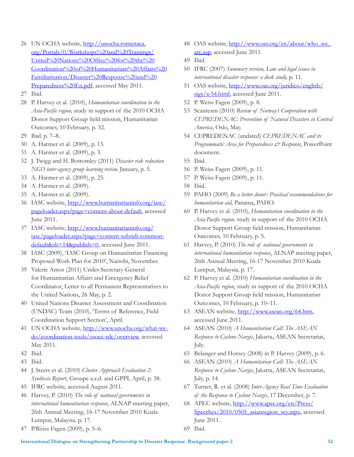- 26 UN OCHA website, http://unocha.romenaca. org/Portals/0/Workshops%20and%20Trainings/ United%20Nations%20Office%20for%20the%20 Coordination%20of%20Humanitariatn%20Affairs%20 Familiarisation/Disaster%20Response%20and%20 Preparedness%20En.pdf, accessed May 2011.
- 27 Ibid.
- 28 P. Harvey et al. (2010), *Humanitarian coordination in the Asia-Pacific region,* study in support of the 2010 OCHA Donor Support Group field mission, Humanitarian Outcomes, 10 February, p. 32.
- 29 Ibid. p. 7–8.
- 30 A. Harmer et al. (2009), p. 13.
- 31 A. Harmer et al. (2009), p. 3.
- 32 J. Twigg and H. Bottomley (2011) *Disaster risk reduction NGO inter-agency group learning review,* January, p. 5.
- 33 A. Harmer et al. (2009), p. 25.
- 34 A. Harmer et al. (2009).
- 35 A. Harmer et al. (2009).
- 36 IASC website, http://www.humanitarianinfo.org/iasc/ pageloader.aspx?page=content-about-default, accessed June 2011.
- 37 IASC website, http://www.humanitarianinfo.org/ iasc/pageloader.aspx?page=content-subsidi-commondefault&sb=14&publish=0, accessed June 2011.
- 38 IASC (2009), 'IASC Group on Humanitarian Financing Proposed Work Plan for 2010', Nairobi, November.
- 39 Valerie Amos (2011) Under-Secretary-General for Humanitarian Affairs and Emergency Relief Coordinator, Letter to all Permanent Representatives to the United Nations, 26 May, p. 2.
- 40 United Nations Disaster Assessment and Coordination (UNDAC) Team (2010), 'Terms of Reference, Field Coordination Support Section', April.
- 41 UN OCHA website, http://www.unocha.org/what-wedo/coordination-tools/osocc-rdc/overview, accessed May 2011.
- 42 Ibid.
- 43 Ibid.
- 44 J. Steets et al. (2010) *Cluster Approach Evaluation 2: Synthesis Report*, Groupe u.r.d. and GPPI, April, p. 38.
- 45 IFRC website, accessed August 2011.
- 46 Harvey, P. (2010) *The role of national governments in international humanitarian response*, ALNAP meeting paper, 26th Annual Meeting, 16-17 November 2010 Kuala Lumpur, Malaysia. p. 17.
- 47 P.Weiss Fagen (2009), p. 5–6.
- 48 OAS website, http://www.oas.org/en/about/who\_we\_ are.asp, accessed June 2011.
- 49 Ibid.
- 50 IFRC (2007) *Summary version, Law and legal issues in international disaster response: a desk study,* p. 11.
- 51 OAS website, http://www.oas.org/juridico/english/  $sigs/a-54.html$ , accessed June 2011.
- 52 P. Weiss Fagen (2009), p. 8.
- 53 Scanteam (2010) *Review of Norway's Cooperation with CEPREDENAC: Prevention of Natural Disasters in Central America*, Oslo, May.
- 54 CEPREDENAC (undated) *CEPREDENAC and its Programmatic Area for Preparedness & Response*, PowerPoint document.
- 55 Ibid.
- 56 P. Weiss Fagen (2009), p. 11.
- 57 P. Weiss Fagen (2009), p. 11.
- 58 Ibid.
- 59 PAHO (2009) *Be a better donor: Practical recommendations for humanitarian aid*, Panama, PAHO.
- 60 P. Harvey et al. (2010), *Humanitarian coordination in the Asia-Pacific region,* study in support of the 2010 OCHA Donor Support Group field mission, Humanitarian Outcomes, 10 February, p. 5.
- 61 Harvey, P. (2010) *The role of national governments in international humanitarian response*, ALNAP meeting paper, 26th Annual Meeting, 16-17 November 2010 Kuala Lumpur, Malaysia, p. 17.
- 62 P. Harvey et al. (2010) *Humanitarian coordination in the Asia-Pacific region*, study in support of the 2010 OCHA Donor Support Group field mission, Humanitarian Outcomes, 10 February, p. 10–11.
- 63 ASEAN website, http://www.asean.org/64.htm, accessed June 2011.
- 64 ASEAN (2010) *A Humanitarian Call: The ASEAN Response to Cyclone Nargis*, Jakarta, ASEAN Secretariat, July.
- 65 Belanger and Horsey (2008) in P. Harvey (2009), p. 6.
- 66 ASEAN (2010) *A Humanitarian Call: The ASEAN Response to Cyclone Nargis*, Jakarta, ASEAN Secretariat, July, p. 14.
- 67 Turner, R. et al. (2008) *Inter-Agency Real Time Evaluation of the Response to Cyclone Nargis*, 17 December, p. 7.
- 68 APEC website, http://www.apec.org/en/Press/ Speeches/2010/0505\_asianregion\_scy.aspx, accessed June 2011.
- 69 Ibid.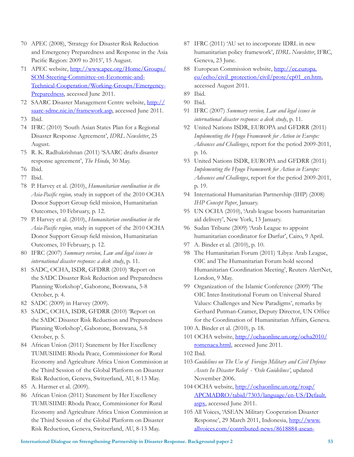- 70 APEC (2008), 'Strategy for Disaster Risk Reduction and Emergency Preparedness and Response in the Asia Pacific Region: 2009 to 2015', 15 August.
- 71 APEC website, http://www.apec.org/Home/Groups/ SOM-Steering-Committee-on-Economic-and-Technical-Cooperation/Working-Groups/Emergency-Preparedness, accessed June 2011.
- 72 SAARC Disaster Management Centre website, http:// saarc-sdmc.nic.in/framework.asp, accessed June 2011.
- 73 Ibid.
- 74 IFRC (2010) 'South Asian States Plan for a Regional Disaster Response Agreement', *IDRL Newsletter*, 25 August.
- 75 R. K. Radhakrishnan (2011) 'SAARC drafts disaster response agreement', *The Hindu*, 30 May.
- 76 Ibid.
- 77 Ibid.
- 78 P. Harvey et al. (2010), *Humanitarian coordination in the Asia-Pacific region,* study in support of the 2010 OCHA Donor Support Group field mission, Humanitarian Outcomes, 10 February, p. 12.
- 79 P. Harvey et al. (2010), *Humanitarian coordination in the Asia-Pacific region,* study in support of the 2010 OCHA Donor Support Group field mission, Humanitarian Outcomes, 10 February, p. 12.
- 80 IFRC (2007) *Summary version, Law and legal issues in international disaster response: a desk study*, p. 11.
- 81 SADC, OCHA, ISDR, GFDRR (2010) 'Report on the SADC Disaster Risk Reduction and Preparedness Planning Workshop', Gaborone, Botswana, 5-8 October, p. 4.
- 82 SADC (2009) in Harvey (2009).
- 83 SADC, OCHA, ISDR, GFDRR (2010) 'Report on the SADC Disaster Risk Reduction and Preparedness Planning Workshop', Gaborone, Botswana, 5-8 October, p. 5.
- 84 African Union (2011) Statement by Her Excellency TUMUSIIME Rhoda Peace, Commissioner for Rural Economy and Agriculture Africa Union Commission at the Third Session of the Global Platform on Disaster Risk Reduction, Geneva, Switzerland, AU, 8-13 May.
- 85 A. Harmer et al. (2009).
- 86 African Union (2011) Statement by Her Excellency TUMUSIIME Rhoda Peace, Commissioner for Rural Economy and Agriculture Africa Union Commission at the Third Session of the Global Platform on Disaster Risk Reduction, Geneva, Switzerland, AU, 8-13 May.
- 87 IFRC (2011) 'AU set to incorporate IDRL in new humanitarian policy framework', *IDRL Newsletter*, IFRC, Geneva, 23 June.
- 88 European Commission website, http://ec.europa. eu/echo/civil\_protection/civil/prote/cp01\_en.htm, accessed August 2011.
- 89 Ibid.
- 90 Ibid.
- 91 IFRC (2007) *Summary version, Law and legal issues in international disaster response: a desk study*, p. 11.
- 92 United Nations ISDR, EUROPA and GFDRR (2011) *Implementing the Hyogo Framework for Action in Europe: Advances and Challenges*, report for the period 2009-2011, p. 16.
- 93 United Nations ISDR, EUROPA and GFDRR (2011) *Implementing the Hyogo Framework for Action in Europe: Advances and Challenges*, report for the period 2009-2011, p. 19.
- 94 International Humanitarian Partnership (IHP) (2008) *IHP Concept Paper*, January.
- 95 UN OCHA (2010), 'Arab league boosts humanitarian aid delivery', New York, 13 January.
- 96 Sudan Tribune (2009) 'Arab League to appoint humanitarian coordinator for Darfur', Cairo, 9 April.
- 97 A. Binder et al. (2010), p. 10.
- 98 The Humanitarian Forum (2011) 'Libya: Arab League, OIC and The Humanitarian Forum hold second Humanitarian Coordination Meeting', Reuters AlertNet, London, 9 May.
- 99 Organization of the Islamic Conference (2009) 'The OIC Inter-Institutional Forum on Universal Shared Values: Challenges and New Paradigms', remarks by Gerhard Putman-Cramer, Deputy Director, UN Office for the Coordination of Humanitarian Affairs, Geneva.
- 100 A. Binder et al. (2010), p. 18.
- 101 OCHA website, http://ochaonline.un.org/ocha2010/ romenaca.html, accessed June 2011.
- 102 Ibid.
- 103 *Guidelines on The Use of Foreign Military and Civil Defence Assets In Disaster Relief - 'Oslo Guidelines'*, updated November 2006.
- 104 OCHA website, http://ochaonline.un.org/roap/ APCMADRO/tabid/7303/language/en-US/Default. aspx, accessed June 2011.
- 105 All Voices, 'ASEAN Military Cooperation Disaster Response', 29 March 2011, Indonesia, http://www. allvoices.com/contributed-news/8618884-asean-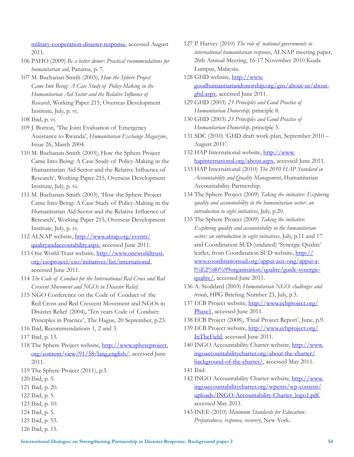military-cooperation-disaster-response, accessed August 2011.

- 106 PAHO (2009) *Be a better donor: Practical recommendations for humanitarian aid*, Panama, p. 7.
- 107 M. Buchanan-Smith (2003), *How the Sphere Project Came Into Being: A Case Study of Policy-Making in the Humanitarian Aid Sector and the Relative Influence of Research*, Working Paper 215, Overseas Development Institute, July, p. vi.
- 108 Ibid, p. vi.
- 109 J. Borton, 'The Joint Evaluation of Emergency Assistance to Rwanda', *Humanitarian Exchange Magazine*, Issue 26, March 2004.
- 110 M. Buchanan-Smith (2003), How the Sphere Project Came Into Being: A Case Study of Policy-Making in the Humanitarian Aid Sector and the Relative Influence of Research', Working Paper 215, Overseas Development Institute, July, p. vi.
- 111 M. Buchanan-Smith (2003), 'How the Sphere Project Came Into Being: A Case Study of Policy-Making in the Humanitarian Aid Sector and the Relative Influence of Research', Working Paper 215, Overseas Development Institute, July, p. vi.
- 112 ALNAP website, http://www.alnap.org/events/ qualityandaccoutability.aspx, accessed June 2011.
- 113 One World Trust website, http://www.oneworldtrust. org/csoproject/cso/initiatives/list/international, accessed June 2011.
- 114 *The Code of Conduct for the International Red Cross and Red Crescent Movement and NGOs in Disaster Relief*.
- 115 NGO Conference on the Code of Conduct of the Red Cross and Red Crescent Movement and NGOs in Disaster Relief (2004), 'Ten years Code of Conduct: Principles in Practice', The Hague, 20 September, p.23.
- 116 Ibid, Recommendations 1, 2 and 3.
- 117 Ibid, p. 13.
- 118 The Sphere Project website, http://www.sphereproject. org/content/view/91/58/lang,english/, accessed June 2011.
- 119 The Sphere Project (2011), p.5.
- 120 Ibid, p. 5.
- 121 Ibid, p. 20.
- 122 Ibid, p. 5.
- 123 Ibid, p. 10.
- 124 Ibid, p. 5.
- 125 Ibid, p. 53.
- 126 Ibid, p. 15.
- 127 P. Harvey (2010) *The role of national governments in international humanitarian response*, ALNAP meeting paper, 26th Annual Meeting, 16-17 November 2010 Kuala Lumpur, Malaysia.
- 128 GHD website, http://www. goodhumanitariandonorship.org/gns/about-us/aboutghd.aspx, accessed June 2011.
- 129 GHD (2003) *23 Principles and Good Practice of Humanitarian Donorship,* principle 8.
- 130 GHD (2003) *23 Principles and Good Practice of Humanitarian Donorship,* principle 5.
- 131 SDC (2010) 'GHD draft work-plan, September 2010 August 2011'.
- 132 HAP International website, http://www. hapinternational.org/about.aspx, accessed June 2011.
- 133 HAP International (2010) *The 2010 HAP Standard in Accountability and Quality Management*, Humanitarian Accountability Partnership.
- 134 The Sphere Project (2009) *Taking the initiative: Exploring quality and accountability in the humanitarian sector: an introduction to eight initiatives*, July, p.20.
- 135 The Sphere Project (2009) *Taking the initiative: Exploring quality and accountability in the humanitarian sector: an introduction to eight initiatives*, July, p.11 and 17 and Coordination SUD (undated) 'Synergie Qualite' leaflet, from Coordination SUD website, http:// www.coordinationsud.org/appui-aux-ong/appui-al%E2%80%99organisation/qualite/guide-synergiequalite/, accessed June 2011.
- 136 A. Stoddard (2003) *Humanitarian NGO: challenges and trends*, HPG Briefing Number 23, July, p.3.
- 137 ECB Project website, http://www.ecbproject.org/ Phase1, accessed June 2011.
- 138 ECB Project (2008), 'Final Project Report', June, p.9.
- 139 ECB Project website, http://www.ecbproject.org/ InTheField, accessed June 2011.
- 140 INGO Accountability Charter website, http://www. ingoaccountabilitycharter.org/about-the-charter/ background-of-the-charter/, accessed May 2011.
- 141 Ibid.
- 142 INGO Accountability Charter website, http://www. ingoaccountabilitycharter.org/wpcms/wp-content/ uploads/INGO-Accountability-Charter\_logo1.pdf, accessed May 2011.
- 143 INEE (2010) *Minimum Standards for Education: Preparedness, response, recovery*, New York.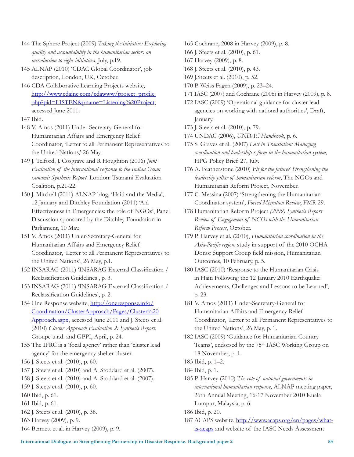- 144 The Sphere Project (2009) *Taking the initiative: Exploring quality and accountability in the humanitarian sector: an introduction to eight initiatives*, July, p.19.
- 145 ALNAP (2010) 'CDAC Global Coordinator', job description, London, UK, October.
- 146 CDA Collaborative Learning Projects website, http://www.cdainc.com/cdawww/project\_profile. php?pid=LISTEN&pname=Listening%20Project, accessed June 2011.
- 147 Ibid.
- 148 V. Amos (2011) Under-Secretary-General for Humanitarian Affairs and Emergency Relief Coordinator, 'Letter to all Permanent Representatives to the United Nations,' 26 May.
- 149 J. Telford, J. Cosgrave and R Houghton (2006) *Joint Evaluation of the international response to the Indian Ocean tsunami: Synthesis Report.* London: Tsunami Evaluation Coalition, p.21-22.
- 150 J. Mitchell (2011) ALNAP blog, 'Haiti and the Media', 12 January and Ditchley Foundation (2011) 'Aid Effectiveness in Emergencies: the role of NGOs', Panel Discussion sponsored by the Ditchley Foundation in Parliament, 10 May.
- 151 V. Amos (2011) Un er-Secretary-General for Humanitarian Affairs and Emergency Relief Coordinator, 'Letter to all Permanent Representatives to the United Nations', 26 May, p.1.
- 152 INSARAG (2011) 'INSARAG External Classification / Reclassification Guidelines', p. 3.
- 153 INSARAG (2011) 'INSARAG External Classification / Reclassification Guidelines', p. 2.
- 154 One Response website, http://oneresponse.info/ Coordination/ClusterApproach/Pages/Cluster%20 Approach.aspx, accessed June 2011 and J. Steets et al. (2010) *Cluster Approach Evaluation 2: Synthesis Report*, Groupe u.r.d. and GPPI, April, p. 24.
- 155 The IFRC is a 'focal agency' rather than 'cluster lead agency' for the emergency shelter cluster.
- 156 J. Steets et al. (2010), p. 60.
- 157 J. Steets et al. (2010) and A. Stoddard et al. (2007).
- 158 J. Steets et al. (2010) and A. Stoddard et al. (2007).
- 159 J. Steets et al. (2010), p. 60.
- 160 Ibid, p. 61.
- 161 Ibid, p. 61.
- 162 J. Steets et al. (2010), p. 38.
- 163 Harvey (2009), p. 9.
- 164 Bennett et al. in Harvey (2009), p. 9.
- 165 Cochrane, 2008 in Harvey (2009), p. 8.
- 166 J. Steets et al. (2010), p. 61.
- 167 Harvey (2009), p. 8.
- 168 J. Steets et al. (2010), p. 43.
- 169 J.Steets et al. (2010), p. 52.
- 170 P. Weiss Fagen (2009), p. 23–24.
- 171 IASC (2007) and Cochrane (2008) in Harvey (2009), p. 8.
- 172 IASC (2009) 'Operational guidance for cluster lead agencies on working with national authorities', Draft, January.
- 173 J. Steets et al. (2010), p. 79.
- 174 UNDAC (2006), *UNDAC Handbook*, p. 6.
- 175 S. Graves et al. (2007) *Lost in Translation: Managing coordination and leadership reform in the humanitarian system*, HPG Policy Brief 27, July.
- 176 A. Featherstone (2010) *Fit for the future? Strengthening the leadership pillar of humanitarian reform*, The NGOs and Humanitarian Reform Project, November.
- 177 C. Messina (2007) 'Strengthening the Humanitarian Coordinator system', *Forced Migration Review*, FMR 29.
- 178 Humanitarian Reform Project *(2009) Synthesis Report Review of Engagement of NGOs with the Humanitarian Reform Process*, October.
- 179 P. Harvey et al. (2010), *Humanitarian coordination in the Asia-Pacific region,* study in support of the 2010 OCHA Donor Support Group field mission, Humanitarian Outcomes, 10 February, p. 5.
- 180 IASC (2010) 'Response to the Humanitarian Crisis in Haiti Following the 12 January 2010 Earthquake: Achievements, Challenges and Lessons to be Learned', p. 23.
- 181 V. Amos (2011) Under-Secretary-General for Humanitarian Affairs and Emergency Relief Coordinator, 'Letter to all Permanent Representatives to the United Nations', 26 May, p. 1.
- 182 IASC (2009) 'Guidance for Humanitarian Country Teams', endorsed by the 75<sup>th</sup> IASC Working Group on 18 November, p. 1.
- 183 Ibid, p. 1–2.
- 184 Ibid, p. 1.
- 185 P. Harvey (2010) *The role of national governments in international humanitarian response*, ALNAP meeting paper, 26th Annual Meeting, 16-17 November 2010 Kuala Lumpur, Malaysia, p. 6.
- 186 Ibid, p. 20.
- 187 ACAPS website, http://www.acaps.org/en/pages/whatis-acaps and website of the IASC Needs Assessment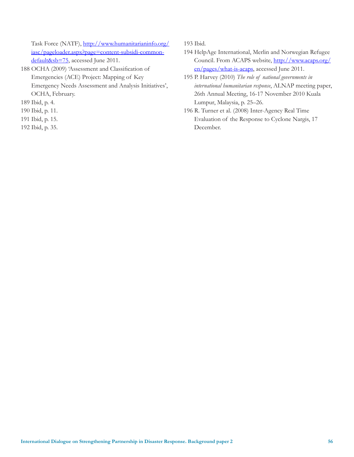Task Force (NATF), http://www.humanitarianinfo.org/ iasc/pageloader.aspx?page=content-subsidi-commondefault&sb=75, accessed June 2011.

- 188 OCHA (2009) 'Assessment and Classification of Emergencies (ACE) Project: Mapping of Key Emergency Needs Assessment and Analysis Initiatives', OCHA, February.
- 189 Ibid, p. 4.
- 190 Ibid, p. 11.
- 191 Ibid, p. 15.
- 192 Ibid, p. 35.

193 Ibid.

- 194 HelpAge International, Merlin and Norwegian Refugee Council. From ACAPS website, http://www.acaps.org/ en/pages/what-is-acaps, accessed June 2011.
- 195 P. Harvey (2010) *The role of national governments in international humanitarian response*, ALNAP meeting paper, 26th Annual Meeting, 16-17 November 2010 Kuala Lumpur, Malaysia, p. 25–26.
- 196 R. Turner et al. (2008) Inter-Agency Real Time Evaluation of the Response to Cyclone Nargis, 17 December.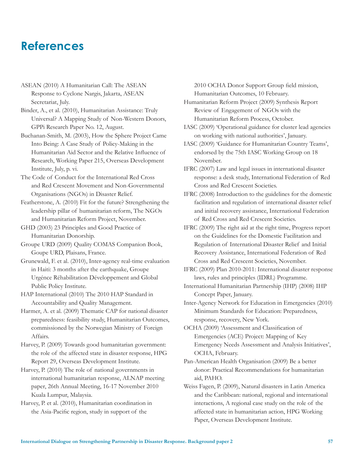### **References**

- ASEAN (2010) A Humanitarian Call: The ASEAN Response to Cyclone Nargis, Jakarta, ASEAN Secretariat, July.
- Binder, A., et al. (2010), Humanitarian Assistance: Truly Universal? A Mapping Study of Non-Western Donors, GPPi Research Paper No. 12, August.
- Buchanan-Smith, M. (2003), How the Sphere Project Came Into Being: A Case Study of Policy-Making in the Humanitarian Aid Sector and the Relative Influence of Research, Working Paper 215, Overseas Development Institute, July, p. vi.
- The Code of Conduct for the International Red Cross and Red Crescent Movement and Non-Governmental Organisations (NGOs) in Disaster Relief.
- Featherstone, A. (2010) Fit for the future? Strengthening the leadership pillar of humanitarian reform, The NGOs and Humanitarian Reform Project, November.
- GHD (2003) 23 Principles and Good Practice of Humanitarian Donorship.
- Groupe URD (2009) Quality COMAS Companion Book, Goupe URD, Plaisans, France.
- Grunewald, F. et al. (2010), Inter-agency real-time evaluation in Haiti: 3 months after the earthquake, Groupe Urgénce Réhabilitation Développement and Global Public Policy Institute.
- HAP International (2010) The 2010 HAP Standard in Accountability and Quality Management.
- Harmer, A. et al. (2009) Thematic CAP for national disaster preparedness: feasibility study, Humanitarian Outcomes, commissioned by the Norwegian Ministry of Foreign Affairs.
- Harvey, P. (2009) Towards good humanitarian government: the role of the affected state in disaster response, HPG Report 29, Overseas Development Institute.
- Harvey, P. (2010) The role of national governments in international humanitarian response, ALNAP meeting paper, 26th Annual Meeting, 16-17 November 2010 Kuala Lumpur, Malaysia.

Harvey, P. et al. (2010), Humanitarian coordination in the Asia-Pacific region, study in support of the

2010 OCHA Donor Support Group field mission, Humanitarian Outcomes, 10 February.

Humanitarian Reform Project (2009) Synthesis Report Review of Engagement of NGOs with the Humanitarian Reform Process, October.

IASC (2009) 'Operational guidance for cluster lead agencies on working with national authorities', January.

- IASC (2009) 'Guidance for Humanitarian Country Teams', endorsed by the 75th IASC Working Group on 18 November.
- IFRC (2007) Law and legal issues in international disaster response: a desk study, International Federation of Red Cross and Red Crescent Societies.
- IFRC (2008) Introduction to the guidelines for the domestic facilitation and regulation of international disaster relief and initial recovery assistance, International Federation of Red Cross and Red Crescent Societies.
- IFRC (2009) The right aid at the right time, Progress report on the Guidelines for the Domestic Facilitation and Regulation of International Disaster Relief and Initial Recovery Assistance, International Federation of Red Cross and Red Crescent Societies, November.
- IFRC (2009) Plan 2010-2011: International disaster response laws, rules and principles (IDRL) Programme.
- International Humanitarian Partnership (IHP) (2008) IHP Concept Paper, January.
- Inter-Agency Network for Education in Emergencies (2010) Minimum Standards for Education: Preparedness, response, recovery, New York.
- OCHA (2009) 'Assessment and Classification of Emergencies (ACE) Project: Mapping of Key Emergency Needs Assessment and Analysis Initiatives', OCHA, February.
- Pan-American Health Organisation (2009) Be a better donor: Practical Recommendations for humanitarian aid, PAHO.
- Weiss Fagen, P. (2009), Natural disasters in Latin America and the Caribbean: national, regional and international interactions, A regional case study on the role of the affected state in humanitarian action, HPG Working Paper, Overseas Development Institute.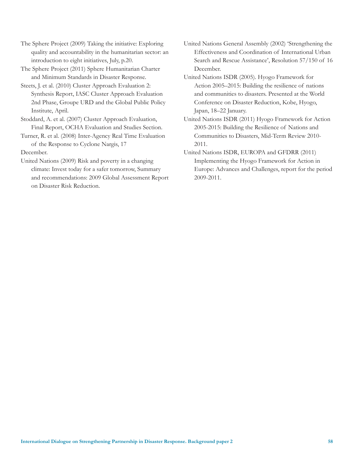The Sphere Project (2009) Taking the initiative: Exploring quality and accountability in the humanitarian sector: an introduction to eight initiatives, July, p.20.

The Sphere Project (2011) Sphere Humanitarian Charter and Minimum Standards in Disaster Response.

Steets, J. et al. (2010) Cluster Approach Evaluation 2: Synthesis Report, IASC Cluster Approach Evaluation 2nd Phase, Groupe URD and the Global Public Policy Institute, April.

Stoddard, A. et al. (2007) Cluster Approach Evaluation, Final Report, OCHA Evaluation and Studies Section.

Turner, R. et al. (2008) Inter-Agency Real Time Evaluation of the Response to Cyclone Nargis, 17

December.

United Nations (2009) Risk and poverty in a changing climate: Invest today for a safer tomorrow, Summary and recommendations: 2009 Global Assessment Report on Disaster Risk Reduction.

- United Nations General Assembly (2002) 'Strengthening the Effectiveness and Coordination of International Urban Search and Rescue Assistance', Resolution 57/150 of 16 December.
- United Nations ISDR (2005). Hyogo Framework for Action 2005–2015: Building the resilience of nations and communities to disasters. Presented at the World Conference on Disaster Reduction, Kobe, Hyogo, Japan, 18–22 January.
- United Nations ISDR (2011) Hyogo Framework for Action 2005-2015: Building the Resilience of Nations and Communities to Disasters, Mid-Term Review 2010- 2011.
- United Nations ISDR, EUROPA and GFDRR (2011) Implementing the Hyogo Framework for Action in Europe: Advances and Challenges, report for the period 2009-2011.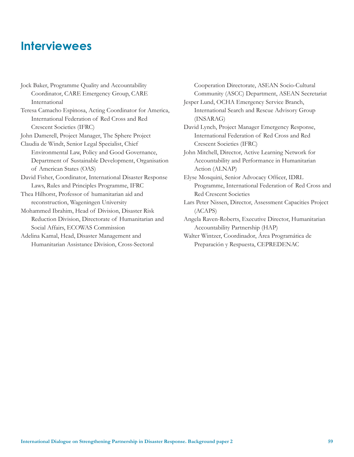### **Interviewees**

- Jock Baker, Programme Quality and Accountability Coordinator, CARE Emergency Group, CARE International
- Teresa Camacho Espinosa, Acting Coordinator for America, International Federation of Red Cross and Red Crescent Societies (IFRC)

John Damerell, Project Manager, The Sphere Project

- Claudia de Windt, Senior Legal Specialist, Chief Environmental Law, Policy and Good Governance, Department of Sustainable Development, Organisation of American States (OAS)
- David Fisher, Coordinator, International Disaster Response Laws, Rules and Principles Programme, IFRC
- Thea Hilhorst, Professor of humanitarian aid and reconstruction, Wageningen University
- Mohammed Ibrahim, Head of Division, Disaster Risk Reduction Division, Directorate of Humanitarian and Social Affairs, ECOWAS Commission
- Adelina Kamal, Head, Disaster Management and Humanitarian Assistance Division, Cross-Sectoral

Cooperation Directorate, ASEAN Socio-Cultural Community (ASCC) Department, ASEAN Secretariat

Jesper Lund, OCHA Emergency Service Branch, International Search and Rescue Advisory Group (INSARAG)

David Lynch, Project Manager Emergency Response, International Federation of Red Cross and Red Crescent Societies (IFRC)

John Mitchell, Director, Active Learning Network for Accountability and Performance in Humanitarian Action (ALNAP)

Elyse Mosquini, Senior Advocacy Officer, IDRL Programme, International Federation of Red Cross and Red Crescent Societies

- Lars Peter Nissen, Director, Assessment Capacities Project (ACAPS)
- Angela Raven-Roberts, Executive Director, Humanitarian Accountability Partnership (HAP)
- Walter Wintzer, Coordinador, Área Programática de Preparación y Respuesta, CEPREDENAC